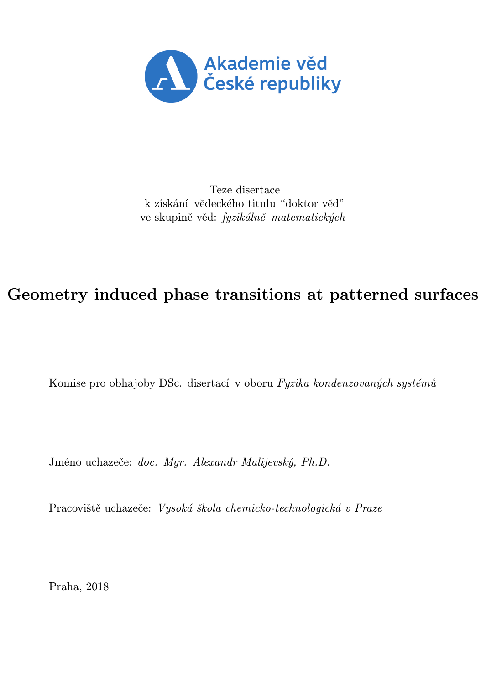

Teze disertace k získání vědeckého titulu "doktor věd" ve skupině věd: fyzikálně–matematických

## Geometry induced phase transitions at patterned surfaces

Komise pro obhajoby DSc. disertací v oboru Fyzika kondenzovaných systémů

Jméno uchazeče: doc. Mgr. Alexandr Malijevský, Ph.D.

Pracoviště uchazeče: Vysoká škola chemicko-technologická v Praze

Praha, 2018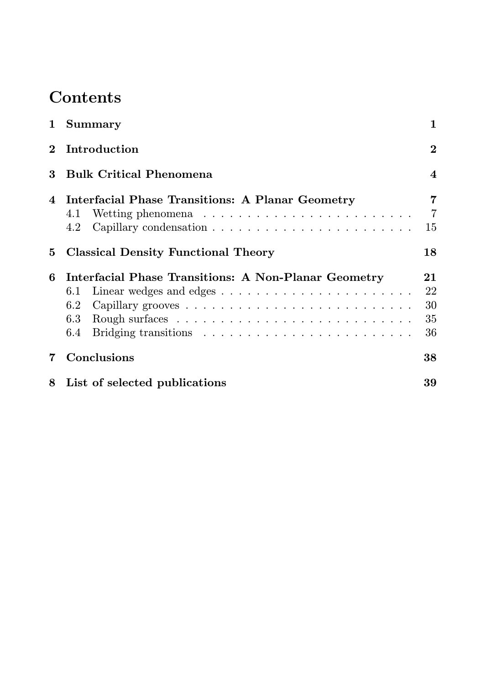# Contents

|             | 1 Summary                                                          | $\mathbf{1}$               |
|-------------|--------------------------------------------------------------------|----------------------------|
| $2^{\circ}$ | Introduction                                                       | $\overline{2}$             |
| 3           | <b>Bulk Critical Phenomena</b>                                     | $\overline{\mathbf{4}}$    |
|             | 4 Interfacial Phase Transitions: A Planar Geometry<br>4.1<br>4.2   | 7<br>$\overline{7}$<br>15  |
| 5           | <b>Classical Density Functional Theory</b>                         | 18                         |
| 6           | Interfacial Phase Transitions: A Non-Planar Geometry<br>6.1<br>6.2 | 21<br>22<br>30<br>35<br>36 |
| 7           | Conclusions                                                        | 38                         |
|             | 8 List of selected publications                                    | 39                         |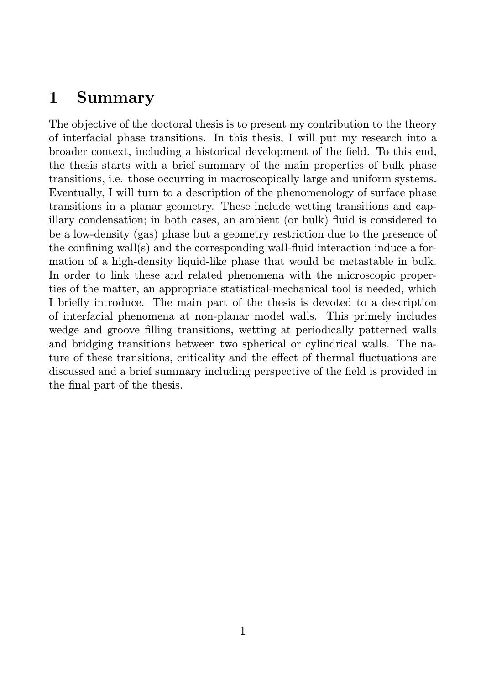## 1 Summary

The objective of the doctoral thesis is to present my contribution to the theory of interfacial phase transitions. In this thesis, I will put my research into a broader context, including a historical development of the field. To this end, the thesis starts with a brief summary of the main properties of bulk phase transitions, i.e. those occurring in macroscopically large and uniform systems. Eventually, I will turn to a description of the phenomenology of surface phase transitions in a planar geometry. These include wetting transitions and capillary condensation; in both cases, an ambient (or bulk) fluid is considered to be a low-density (gas) phase but a geometry restriction due to the presence of the confining wall(s) and the corresponding wall-fluid interaction induce a formation of a high-density liquid-like phase that would be metastable in bulk. In order to link these and related phenomena with the microscopic properties of the matter, an appropriate statistical-mechanical tool is needed, which I briefly introduce. The main part of the thesis is devoted to a description of interfacial phenomena at non-planar model walls. This primely includes wedge and groove filling transitions, wetting at periodically patterned walls and bridging transitions between two spherical or cylindrical walls. The nature of these transitions, criticality and the effect of thermal fluctuations are discussed and a brief summary including perspective of the field is provided in the final part of the thesis.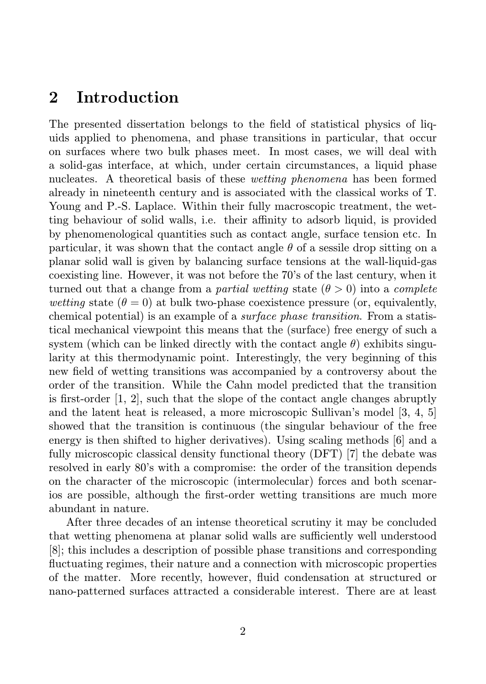### 2 Introduction

The presented dissertation belongs to the field of statistical physics of liquids applied to phenomena, and phase transitions in particular, that occur on surfaces where two bulk phases meet. In most cases, we will deal with a solid-gas interface, at which, under certain circumstances, a liquid phase nucleates. A theoretical basis of these wetting phenomena has been formed already in nineteenth century and is associated with the classical works of T. Young and P.-S. Laplace. Within their fully macroscopic treatment, the wetting behaviour of solid walls, i.e. their affinity to adsorb liquid, is provided by phenomenological quantities such as contact angle, surface tension etc. In particular, it was shown that the contact angle  $\theta$  of a sessile drop sitting on a planar solid wall is given by balancing surface tensions at the wall-liquid-gas coexisting line. However, it was not before the 70's of the last century, when it turned out that a change from a partial wetting state  $(\theta > 0)$  into a complete wetting state  $(\theta = 0)$  at bulk two-phase coexistence pressure (or, equivalently, chemical potential) is an example of a surface phase transition. From a statistical mechanical viewpoint this means that the (surface) free energy of such a system (which can be linked directly with the contact angle  $\theta$ ) exhibits singularity at this thermodynamic point. Interestingly, the very beginning of this new field of wetting transitions was accompanied by a controversy about the order of the transition. While the Cahn model predicted that the transition is first-order [1, 2], such that the slope of the contact angle changes abruptly and the latent heat is released, a more microscopic Sullivan's model [3, 4, 5] showed that the transition is continuous (the singular behaviour of the free energy is then shifted to higher derivatives). Using scaling methods [6] and a fully microscopic classical density functional theory (DFT) [7] the debate was resolved in early 80's with a compromise: the order of the transition depends on the character of the microscopic (intermolecular) forces and both scenarios are possible, although the first-order wetting transitions are much more abundant in nature.

After three decades of an intense theoretical scrutiny it may be concluded that wetting phenomena at planar solid walls are sufficiently well understood [8]; this includes a description of possible phase transitions and corresponding fluctuating regimes, their nature and a connection with microscopic properties of the matter. More recently, however, fluid condensation at structured or nano-patterned surfaces attracted a considerable interest. There are at least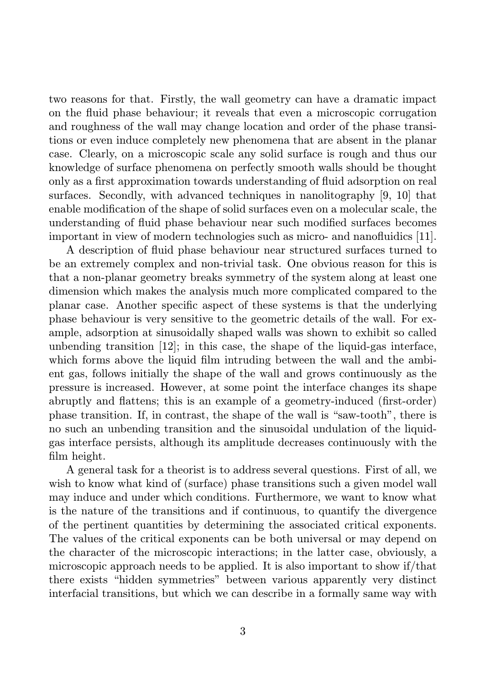two reasons for that. Firstly, the wall geometry can have a dramatic impact on the fluid phase behaviour; it reveals that even a microscopic corrugation and roughness of the wall may change location and order of the phase transitions or even induce completely new phenomena that are absent in the planar case. Clearly, on a microscopic scale any solid surface is rough and thus our knowledge of surface phenomena on perfectly smooth walls should be thought only as a first approximation towards understanding of fluid adsorption on real surfaces. Secondly, with advanced techniques in nanolitography [9, 10] that enable modification of the shape of solid surfaces even on a molecular scale, the understanding of fluid phase behaviour near such modified surfaces becomes important in view of modern technologies such as micro- and nanofluidics [11].

A description of fluid phase behaviour near structured surfaces turned to be an extremely complex and non-trivial task. One obvious reason for this is that a non-planar geometry breaks symmetry of the system along at least one dimension which makes the analysis much more complicated compared to the planar case. Another specific aspect of these systems is that the underlying phase behaviour is very sensitive to the geometric details of the wall. For example, adsorption at sinusoidally shaped walls was shown to exhibit so called unbending transition  $[12]$ ; in this case, the shape of the liquid-gas interface, which forms above the liquid film intruding between the wall and the ambient gas, follows initially the shape of the wall and grows continuously as the pressure is increased. However, at some point the interface changes its shape abruptly and flattens; this is an example of a geometry-induced (first-order) phase transition. If, in contrast, the shape of the wall is "saw-tooth", there is no such an unbending transition and the sinusoidal undulation of the liquidgas interface persists, although its amplitude decreases continuously with the film height.

A general task for a theorist is to address several questions. First of all, we wish to know what kind of (surface) phase transitions such a given model wall may induce and under which conditions. Furthermore, we want to know what is the nature of the transitions and if continuous, to quantify the divergence of the pertinent quantities by determining the associated critical exponents. The values of the critical exponents can be both universal or may depend on the character of the microscopic interactions; in the latter case, obviously, a microscopic approach needs to be applied. It is also important to show if/that there exists "hidden symmetries" between various apparently very distinct interfacial transitions, but which we can describe in a formally same way with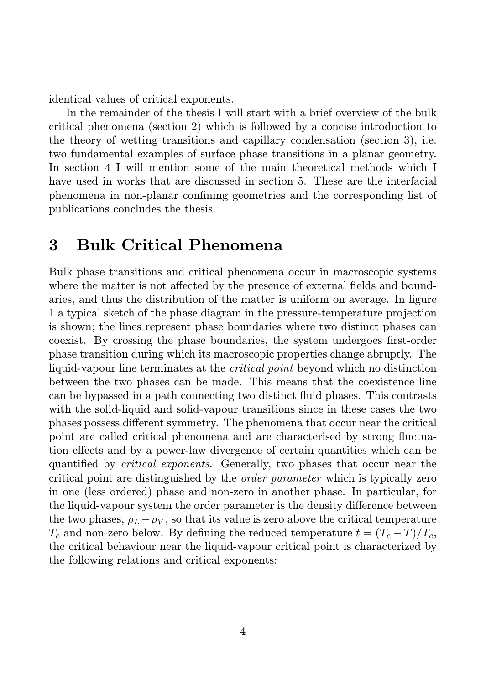identical values of critical exponents.

In the remainder of the thesis I will start with a brief overview of the bulk critical phenomena (section 2) which is followed by a concise introduction to the theory of wetting transitions and capillary condensation (section 3), i.e. two fundamental examples of surface phase transitions in a planar geometry. In section 4 I will mention some of the main theoretical methods which I have used in works that are discussed in section 5. These are the interfacial phenomena in non-planar confining geometries and the corresponding list of publications concludes the thesis.

## 3 Bulk Critical Phenomena

Bulk phase transitions and critical phenomena occur in macroscopic systems where the matter is not affected by the presence of external fields and boundaries, and thus the distribution of the matter is uniform on average. In figure 1 a typical sketch of the phase diagram in the pressure-temperature projection is shown; the lines represent phase boundaries where two distinct phases can coexist. By crossing the phase boundaries, the system undergoes first-order phase transition during which its macroscopic properties change abruptly. The liquid-vapour line terminates at the *critical point* beyond which no distinction between the two phases can be made. This means that the coexistence line can be bypassed in a path connecting two distinct fluid phases. This contrasts with the solid-liquid and solid-vapour transitions since in these cases the two phases possess different symmetry. The phenomena that occur near the critical point are called critical phenomena and are characterised by strong fluctuation effects and by a power-law divergence of certain quantities which can be quantified by critical exponents. Generally, two phases that occur near the critical point are distinguished by the order parameter which is typically zero in one (less ordered) phase and non-zero in another phase. In particular, for the liquid-vapour system the order parameter is the density difference between the two phases,  $\rho_L - \rho_V$ , so that its value is zero above the critical temperature  $T_c$  and non-zero below. By defining the reduced temperature  $t = (T_c - T)/T_c$ , the critical behaviour near the liquid-vapour critical point is characterized by the following relations and critical exponents: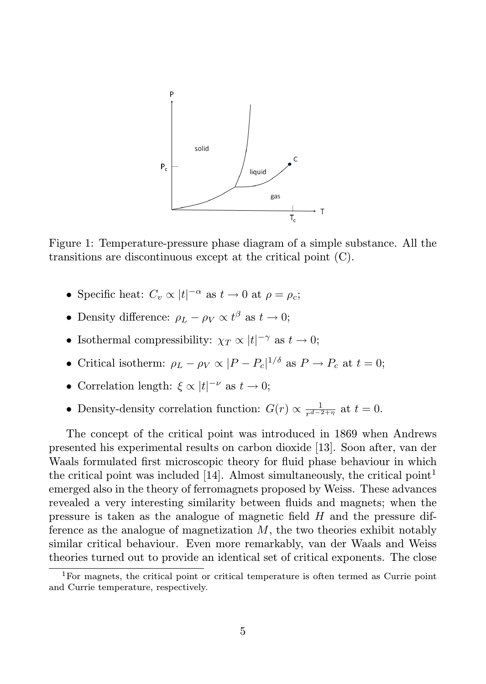

Figure 1: Temperature-pressure phase diagram of a simple substance. All the transitions are discontinuous except at the critical point (C).

- Specific heat:  $C_v \propto |t|^{-\alpha}$  as  $t \to 0$  at  $\rho = \rho_c$ ;
- Density difference:  $\rho_L \rho_V \propto t^{\beta}$  as  $t \to 0$ ;
- Isothermal compressibility:  $\chi_T \propto |t|^{-\gamma}$  as  $t \to 0$ ;
- Critical isotherm:  $\rho_L \rho_V \propto |P P_c|^{1/\delta}$  as  $P \to P_c$  at  $t = 0$ ;
- Correlation length:  $\xi \propto |t|^{-\nu}$  as  $t \to 0$ ;
- Density-density correlation function:  $G(r) \propto \frac{1}{r^{d-2+\eta}}$  at  $t = 0$ .

The concept of the critical point was introduced in 1869 when Andrews presented his experimental results on carbon dioxide [13]. Soon after, van der Waals formulated first microscopic theory for fluid phase behaviour in which the critical point was included [14]. Almost simultaneously, the critical point<sup>1</sup> emerged also in the theory of ferromagnets proposed by Weiss. These advances revealed a very interesting similarity between fluids and magnets; when the pressure is taken as the analogue of magnetic field H and the pressure difference as the analogue of magnetization  $M$ , the two theories exhibit notably similar critical behaviour. Even more remarkably, van der Waals and Weiss theories turned out to provide an identical set of critical exponents. The close

<sup>1</sup>For magnets, the critical point or critical temperature is often termed as Currie point and Currie temperature, respectively.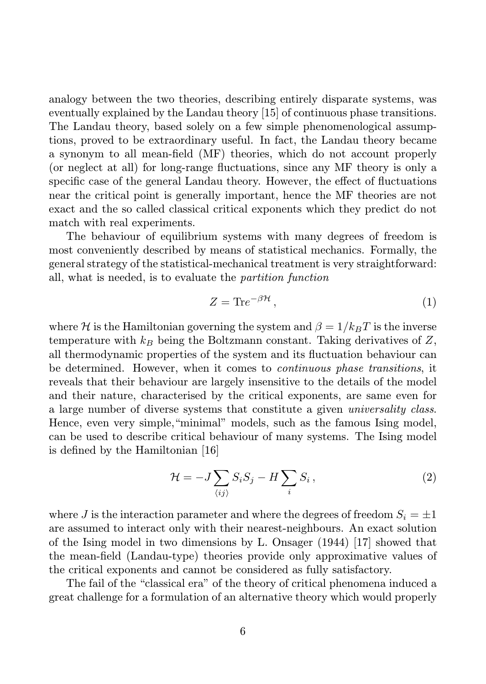analogy between the two theories, describing entirely disparate systems, was eventually explained by the Landau theory [15] of continuous phase transitions. The Landau theory, based solely on a few simple phenomenological assumptions, proved to be extraordinary useful. In fact, the Landau theory became a synonym to all mean-field (MF) theories, which do not account properly (or neglect at all) for long-range fluctuations, since any MF theory is only a specific case of the general Landau theory. However, the effect of fluctuations near the critical point is generally important, hence the MF theories are not exact and the so called classical critical exponents which they predict do not match with real experiments.

The behaviour of equilibrium systems with many degrees of freedom is most conveniently described by means of statistical mechanics. Formally, the general strategy of the statistical-mechanical treatment is very straightforward: all, what is needed, is to evaluate the partition function

$$
Z = \text{Tr}e^{-\beta \mathcal{H}},\tag{1}
$$

where H is the Hamiltonian governing the system and  $\beta = 1/k_BT$  is the inverse temperature with  $k_B$  being the Boltzmann constant. Taking derivatives of Z, all thermodynamic properties of the system and its fluctuation behaviour can be determined. However, when it comes to continuous phase transitions, it reveals that their behaviour are largely insensitive to the details of the model and their nature, characterised by the critical exponents, are same even for a large number of diverse systems that constitute a given universality class. Hence, even very simple,"minimal" models, such as the famous Ising model, can be used to describe critical behaviour of many systems. The Ising model is defined by the Hamiltonian [16]

$$
\mathcal{H} = -J \sum_{\langle ij \rangle} S_i S_j - H \sum_i S_i , \qquad (2)
$$

where J is the interaction parameter and where the degrees of freedom  $S_i = \pm 1$ are assumed to interact only with their nearest-neighbours. An exact solution of the Ising model in two dimensions by L. Onsager (1944) [17] showed that the mean-field (Landau-type) theories provide only approximative values of the critical exponents and cannot be considered as fully satisfactory.

The fail of the "classical era" of the theory of critical phenomena induced a great challenge for a formulation of an alternative theory which would properly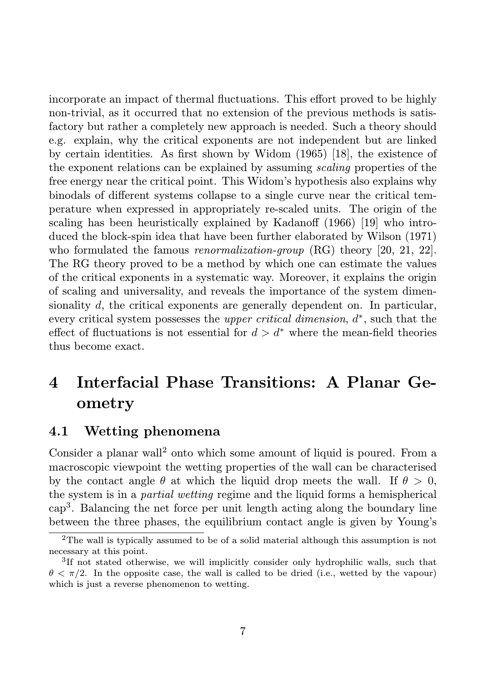incorporate an impact of thermal fluctuations. This effort proved to be highly non-trivial, as it occurred that no extension of the previous methods is satisfactory but rather a completely new approach is needed. Such a theory should e.g. explain, why the critical exponents are not independent but are linked by certain identities. As first shown by Widom (1965) [18], the existence of the exponent relations can be explained by assuming scaling properties of the free energy near the critical point. This Widom's hypothesis also explains why binodals of different systems collapse to a single curve near the critical temperature when expressed in appropriately re-scaled units. The origin of the scaling has been heuristically explained by Kadanoff (1966) [19] who introduced the block-spin idea that have been further elaborated by Wilson (1971) who formulated the famous *renormalization-group* (RG) theory [20, 21, 22]. The RG theory proved to be a method by which one can estimate the values of the critical exponents in a systematic way. Moreover, it explains the origin of scaling and universality, and reveals the importance of the system dimensionality d, the critical exponents are generally dependent on. In particular, every critical system possesses the *upper critical dimension*,  $d^*$ , such that the effect of fluctuations is not essential for  $d > d^*$  where the mean-field theories thus become exact.

# 4 Interfacial Phase Transitions: A Planar Geometry

### 4.1 Wetting phenomena

Consider a planar wall<sup>2</sup> onto which some amount of liquid is poured. From a macroscopic viewpoint the wetting properties of the wall can be characterised by the contact angle  $\theta$  at which the liquid drop meets the wall. If  $\theta > 0$ , the system is in a partial wetting regime and the liquid forms a hemispherical cap<sup>3</sup> . Balancing the net force per unit length acting along the boundary line between the three phases, the equilibrium contact angle is given by Young's

<sup>2</sup>The wall is typically assumed to be of a solid material although this assumption is not necessary at this point.

<sup>&</sup>lt;sup>3</sup>If not stated otherwise, we will implicitly consider only hydrophilic walls, such that  $\theta < \pi/2$ . In the opposite case, the wall is called to be dried (i.e., wetted by the vapour) which is just a reverse phenomenon to wetting.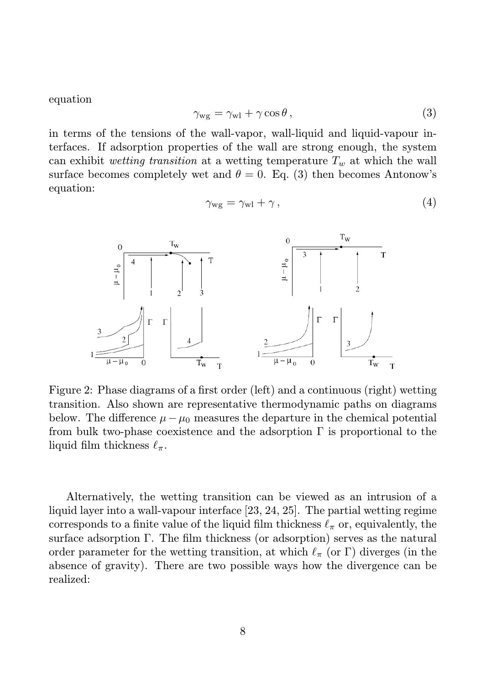equation

$$
\gamma_{\rm wg} = \gamma_{\rm wd} + \gamma \cos \theta \,, \tag{3}
$$

in terms of the tensions of the wall-vapor, wall-liquid and liquid-vapour interfaces. If adsorption properties of the wall are strong enough, the system can exhibit wetting transition at a wetting temperature  $T_w$  at which the wall surface becomes completely wet and  $\theta = 0$ . Eq. (3) then becomes Antonow's equation:

$$
\gamma_{\rm wg} = \gamma_{\rm w1} + \gamma \,, \tag{4}
$$



Figure 2: Phase diagrams of a first order (left) and a continuous (right) wetting transition. Also shown are representative thermodynamic paths on diagrams below. The difference  $\mu - \mu_0$  measures the departure in the chemical potential from bulk two-phase coexistence and the adsorption  $\Gamma$  is proportional to the liquid film thickness  $\ell_{\pi}$ .

Alternatively, the wetting transition can be viewed as an intrusion of a liquid layer into a wall-vapour interface [23, 24, 25]. The partial wetting regime corresponds to a finite value of the liquid film thickness  $\ell_{\pi}$  or, equivalently, the surface adsorption Γ. The film thickness (or adsorption) serves as the natural order parameter for the wetting transition, at which  $\ell_{\pi}$  (or Γ) diverges (in the absence of gravity). There are two possible ways how the divergence can be realized: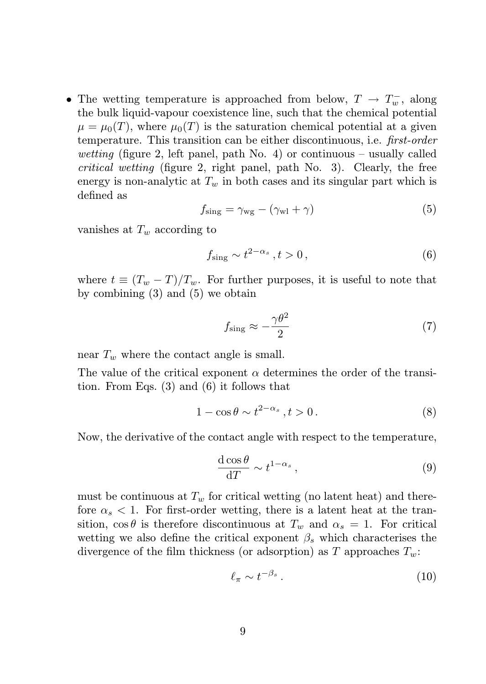• The wetting temperature is approached from below,  $T \rightarrow T_w^-$ , along the bulk liquid-vapour coexistence line, such that the chemical potential  $\mu = \mu_0(T)$ , where  $\mu_0(T)$  is the saturation chemical potential at a given temperature. This transition can be either discontinuous, i.e. first-order wetting (figure 2, left panel, path No. 4) or continuous – usually called critical wetting (figure 2, right panel, path No. 3). Clearly, the free energy is non-analytic at  $T_w$  in both cases and its singular part which is defined as

$$
f_{\rm sing} = \gamma_{\rm wg} - (\gamma_{\rm wd} + \gamma) \tag{5}
$$

vanishes at  $T_w$  according to

$$
f_{\text{sing}} \sim t^{2-\alpha_s}, t > 0,
$$
\n<sup>(6)</sup>

where  $t \equiv (T_w - T)/T_w$ . For further purposes, it is useful to note that by combining (3) and (5) we obtain

$$
f_{\rm sing} \approx -\frac{\gamma \theta^2}{2} \tag{7}
$$

near  $T_w$  where the contact angle is small.

The value of the critical exponent  $\alpha$  determines the order of the transition. From Eqs. (3) and (6) it follows that

$$
1 - \cos \theta \sim t^{2 - \alpha_s}, t > 0.
$$
 (8)

Now, the derivative of the contact angle with respect to the temperature,

$$
\frac{\mathrm{d}\cos\theta}{\mathrm{d}T} \sim t^{1-\alpha_s} \,,\tag{9}
$$

must be continuous at  $T_w$  for critical wetting (no latent heat) and therefore  $\alpha_s < 1$ . For first-order wetting, there is a latent heat at the transition,  $\cos \theta$  is therefore discontinuous at  $T_w$  and  $\alpha_s = 1$ . For critical wetting we also define the critical exponent  $\beta_s$  which characterises the divergence of the film thickness (or adsorption) as T approaches  $T_w$ .

$$
\ell_{\pi} \sim t^{-\beta_s} \,. \tag{10}
$$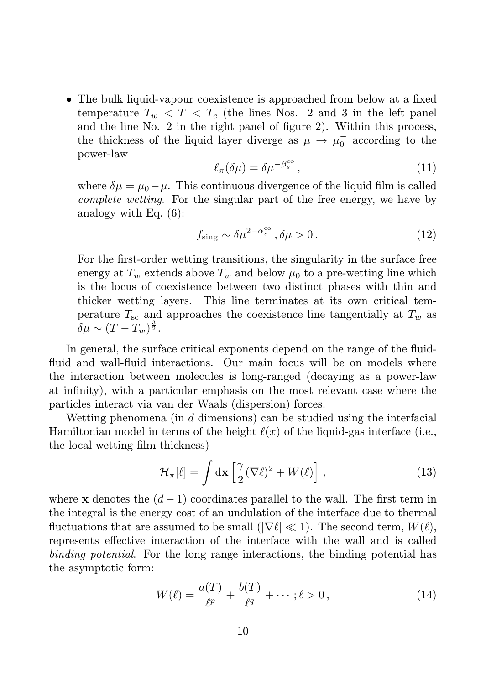• The bulk liquid-vapour coexistence is approached from below at a fixed temperature  $T_w < T < T_c$  (the lines Nos. 2 and 3 in the left panel and the line No. 2 in the right panel of figure 2). Within this process, the thickness of the liquid layer diverge as  $\mu \to \mu_0^-$  according to the power-law

$$
\ell_{\pi}(\delta\mu) = \delta\mu^{-\beta_s^{\rm co}},\tag{11}
$$

where  $\delta\mu = \mu_0 - \mu$ . This continuous divergence of the liquid film is called complete wetting. For the singular part of the free energy, we have by analogy with Eq. (6):

$$
f_{\text{sing}} \sim \delta \mu^{2 - \alpha_s^{\text{co}}}, \delta \mu > 0. \tag{12}
$$

For the first-order wetting transitions, the singularity in the surface free energy at  $T_w$  extends above  $T_w$  and below  $\mu_0$  to a pre-wetting line which is the locus of coexistence between two distinct phases with thin and thicker wetting layers. This line terminates at its own critical temperature  $T_{\rm sc}$  and approaches the coexistence line tangentially at  $T_w$  as  $\delta\mu\sim(T-T_w)^{\frac{3}{2}}.$ 

In general, the surface critical exponents depend on the range of the fluidfluid and wall-fluid interactions. Our main focus will be on models where the interaction between molecules is long-ranged (decaying as a power-law at infinity), with a particular emphasis on the most relevant case where the particles interact via van der Waals (dispersion) forces.

Wetting phenomena (in  $d$  dimensions) can be studied using the interfacial Hamiltonian model in terms of the height  $\ell(x)$  of the liquid-gas interface (i.e., the local wetting film thickness)

$$
\mathcal{H}_{\pi}[\ell] = \int d\mathbf{x} \left[ \frac{\gamma}{2} (\nabla \ell)^2 + W(\ell) \right], \qquad (13)
$$

where x denotes the  $(d-1)$  coordinates parallel to the wall. The first term in the integral is the energy cost of an undulation of the interface due to thermal fluctuations that are assumed to be small ( $|\nabla \ell| \ll 1$ ). The second term,  $W(\ell)$ , represents effective interaction of the interface with the wall and is called binding potential. For the long range interactions, the binding potential has the asymptotic form:

$$
W(\ell) = \frac{a(T)}{\ell^p} + \frac{b(T)}{\ell^q} + \dots; \ell > 0, \qquad (14)
$$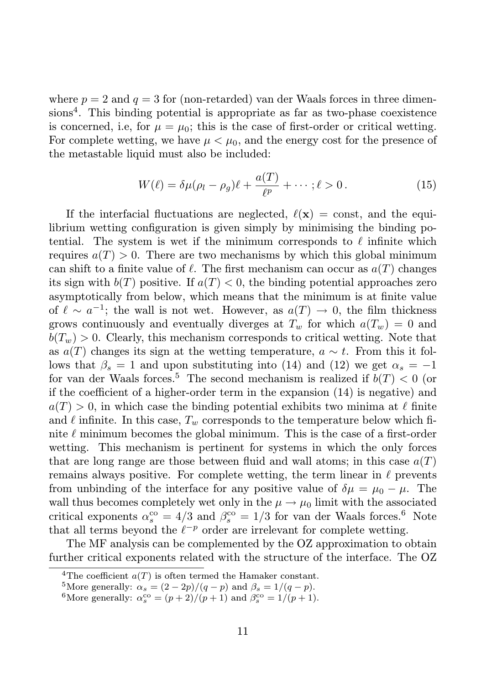where  $p = 2$  and  $q = 3$  for (non-retarded) van der Waals forces in three dimensions<sup>4</sup>. This binding potential is appropriate as far as two-phase coexistence is concerned, i.e, for  $\mu = \mu_0$ ; this is the case of first-order or critical wetting. For complete wetting, we have  $\mu < \mu_0$ , and the energy cost for the presence of the metastable liquid must also be included:

$$
W(\ell) = \delta \mu (\rho_l - \rho_g) \ell + \frac{a(T)}{\ell^p} + \dots; \ell > 0.
$$
 (15)

If the interfacial fluctuations are neglected,  $\ell(\mathbf{x}) = \text{const}$ , and the equilibrium wetting configuration is given simply by minimising the binding potential. The system is wet if the minimum corresponds to  $\ell$  infinite which requires  $a(T) > 0$ . There are two mechanisms by which this global minimum can shift to a finite value of  $\ell$ . The first mechanism can occur as  $a(T)$  changes its sign with  $b(T)$  positive. If  $a(T) < 0$ , the binding potential approaches zero asymptotically from below, which means that the minimum is at finite value of  $\ell \sim a^{-1}$ ; the wall is not wet. However, as  $a(T) \to 0$ , the film thickness grows continuously and eventually diverges at  $T_w$  for which  $a(T_w) = 0$  and  $b(T_w) > 0$ . Clearly, this mechanism corresponds to critical wetting. Note that as  $a(T)$  changes its sign at the wetting temperature,  $a \sim t$ . From this it follows that  $\beta_s = 1$  and upon substituting into (14) and (12) we get  $\alpha_s = -1$ for van der Waals forces.<sup>5</sup> The second mechanism is realized if  $b(T) < 0$  (or if the coefficient of a higher-order term in the expansion (14) is negative) and  $a(T) > 0$ , in which case the binding potential exhibits two minima at  $\ell$  finite and  $\ell$  infinite. In this case,  $T_w$  corresponds to the temperature below which finite  $\ell$  minimum becomes the global minimum. This is the case of a first-order wetting. This mechanism is pertinent for systems in which the only forces that are long range are those between fluid and wall atoms; in this case  $a(T)$ remains always positive. For complete wetting, the term linear in  $\ell$  prevents from unbinding of the interface for any positive value of  $\delta \mu = \mu_0 - \mu$ . The wall thus becomes completely wet only in the  $\mu \rightarrow \mu_0$  limit with the associated critical exponents  $\alpha_s^{\rm co} = 4/3$  and  $\beta_s^{\rm co} = 1/3$  for van der Waals forces.<sup>6</sup> Note that all terms beyond the  $\ell^{-p}$  order are irrelevant for complete wetting.

The MF analysis can be complemented by the OZ approximation to obtain further critical exponents related with the structure of the interface. The OZ

<sup>&</sup>lt;sup>4</sup>The coefficient  $a(T)$  is often termed the Hamaker constant.

<sup>&</sup>lt;sup>5</sup>More generally:  $\alpha_s = (2 - 2p)/(q - p)$  and  $\beta_s = 1/(q - p)$ .

<sup>&</sup>lt;sup>6</sup>More generally:  $\alpha_s^{\text{co}} = (p+2)/(p+1)$  and  $\beta_s^{\text{co}} = 1/(p+1)$ .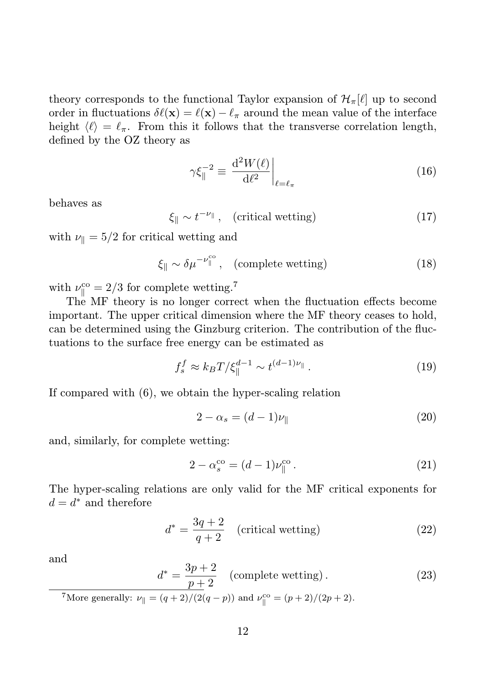theory corresponds to the functional Taylor expansion of  $\mathcal{H}_{\pi}[\ell]$  up to second order in fluctuations  $\delta\ell(\mathbf{x}) = \ell(\mathbf{x}) - \ell_\pi$  around the mean value of the interface height  $\langle \ell \rangle = \ell_{\pi}$ . From this it follows that the transverse correlation length, defined by the OZ theory as

$$
\gamma \xi_{\parallel}^{-2} \equiv \left. \frac{\mathrm{d}^2 W(\ell)}{\mathrm{d}\ell^2} \right|_{\ell = \ell_{\pi}} \tag{16}
$$

behaves as

 $\xi_{\parallel} \sim t^{-\nu_{\parallel}}$ , (critical wetting) (17)

with  $\nu_{\parallel} = 5/2$  for critical wetting and

$$
\xi_{\parallel} \sim \delta \mu^{-\nu_{\parallel}^{\text{co}}}, \quad \text{(complete wetting)} \tag{18}
$$

with  $\nu_{\parallel}^{\rm co} = 2/3$  for complete wetting.<sup>7</sup>

The MF theory is no longer correct when the fluctuation effects become important. The upper critical dimension where the MF theory ceases to hold, can be determined using the Ginzburg criterion. The contribution of the fluctuations to the surface free energy can be estimated as

$$
f_s^f \approx k_B T / \xi_{\parallel}^{d-1} \sim t^{(d-1)\nu_{\parallel}}.
$$
 (19)

If compared with (6), we obtain the hyper-scaling relation

$$
2 - \alpha_s = (d - 1)\nu_{\parallel} \tag{20}
$$

and, similarly, for complete wetting:

$$
2 - \alpha_s^{\rm co} = (d - 1)\nu_{\parallel}^{\rm co} \,. \tag{21}
$$

The hyper-scaling relations are only valid for the MF critical exponents for  $d = d^*$  and therefore

$$
d^* = \frac{3q+2}{q+2} \quad \text{(critical wetting)} \tag{22}
$$

and

$$
d^* = \frac{3p+2}{p+2}
$$
 (complete wetting). (23)  
<sup>7</sup>More generally:  $\nu_{\parallel} = (q+2)/(2(q-p))$  and  $\nu_{\parallel}^{\text{co}} = (p+2)/(2p+2)$ .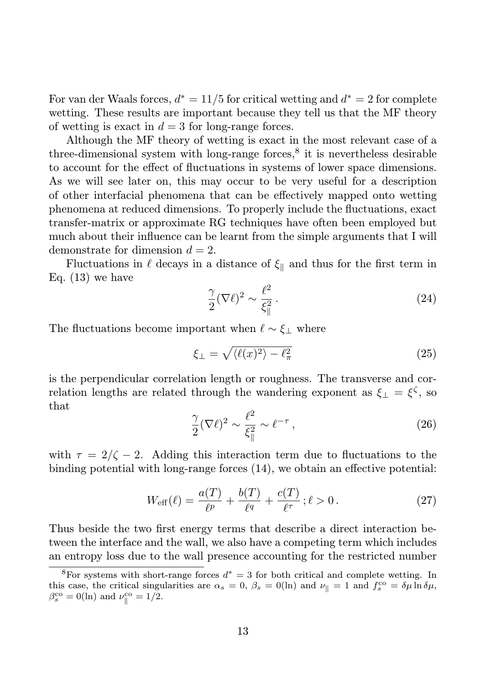For van der Waals forces,  $d^* = 11/5$  for critical wetting and  $d^* = 2$  for complete wetting. These results are important because they tell us that the MF theory of wetting is exact in  $d = 3$  for long-range forces.

Although the MF theory of wetting is exact in the most relevant case of a three-dimensional system with long-range forces,<sup>8</sup> it is nevertheless desirable to account for the effect of fluctuations in systems of lower space dimensions. As we will see later on, this may occur to be very useful for a description of other interfacial phenomena that can be effectively mapped onto wetting phenomena at reduced dimensions. To properly include the fluctuations, exact transfer-matrix or approximate RG techniques have often been employed but much about their influence can be learnt from the simple arguments that I will demonstrate for dimension  $d = 2$ .

Fluctuations in  $\ell$  decays in a distance of  $\xi_{\parallel}$  and thus for the first term in Eq.  $(13)$  we have

$$
\frac{\gamma}{2}(\nabla \ell)^2 \sim \frac{\ell^2}{\xi_{\parallel}^2} \,. \tag{24}
$$

The fluctuations become important when  $\ell \sim \xi_{\perp}$  where

$$
\xi_{\perp} = \sqrt{\langle \ell(x)^2 \rangle - \ell_{\pi}^2} \tag{25}
$$

is the perpendicular correlation length or roughness. The transverse and correlation lengths are related through the wandering exponent as  $\xi_{\perp} = \xi^{\zeta}$ , so that

$$
\frac{\gamma}{2}(\nabla \ell)^2 \sim \frac{\ell^2}{\xi_{\parallel}^2} \sim \ell^{-\tau} \,,\tag{26}
$$

with  $\tau = 2/\zeta - 2$ . Adding this interaction term due to fluctuations to the binding potential with long-range forces (14), we obtain an effective potential:

$$
W_{\text{eff}}(\ell) = \frac{a(T)}{\ell^p} + \frac{b(T)}{\ell^q} + \frac{c(T)}{\ell^{\tau}}; \ell > 0.
$$
 (27)

Thus beside the two first energy terms that describe a direct interaction between the interface and the wall, we also have a competing term which includes an entropy loss due to the wall presence accounting for the restricted number

<sup>&</sup>lt;sup>8</sup>For systems with short-range forces  $d^* = 3$  for both critical and complete wetting. In this case, the critical singularities are  $\alpha_s = 0$ ,  $\beta_s = 0$ (ln) and  $\nu_{\parallel} = 1$  and  $f_s^{\text{co}} = \delta \mu \ln \delta \mu$ ,  $\beta_s^{\rm co} = 0(\ln)$  and  $\nu_{\parallel}^{\rm co} = 1/2$ .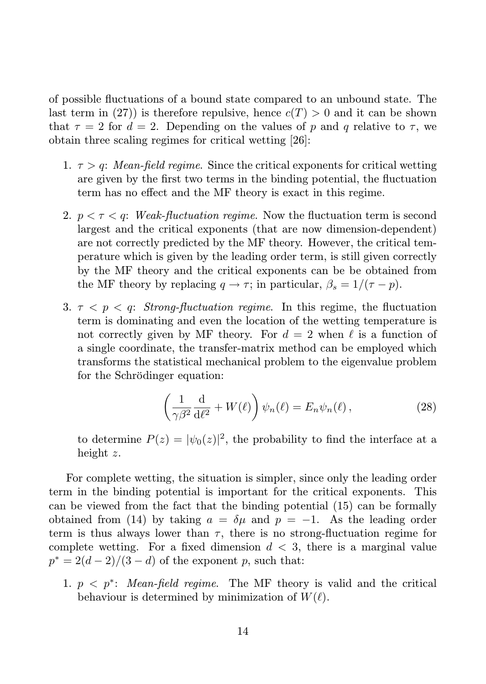of possible fluctuations of a bound state compared to an unbound state. The last term in (27)) is therefore repulsive, hence  $c(T) > 0$  and it can be shown that  $\tau = 2$  for  $d = 2$ . Depending on the values of p and q relative to  $\tau$ , we obtain three scaling regimes for critical wetting [26]:

- 1.  $\tau > q$ : Mean-field regime. Since the critical exponents for critical wetting are given by the first two terms in the binding potential, the fluctuation term has no effect and the MF theory is exact in this regime.
- 2.  $p < \tau < q$ : Weak-fluctuation regime. Now the fluctuation term is second largest and the critical exponents (that are now dimension-dependent) are not correctly predicted by the MF theory. However, the critical temperature which is given by the leading order term, is still given correctly by the MF theory and the critical exponents can be be obtained from the MF theory by replacing  $q \to \tau$ ; in particular,  $\beta_s = 1/(\tau - p)$ .
- 3.  $\tau < p < q$ : Strong-fluctuation regime. In this regime, the fluctuation term is dominating and even the location of the wetting temperature is not correctly given by MF theory. For  $d = 2$  when  $\ell$  is a function of a single coordinate, the transfer-matrix method can be employed which transforms the statistical mechanical problem to the eigenvalue problem for the Schrödinger equation:

$$
\left(\frac{1}{\gamma\beta^2}\frac{\mathrm{d}}{\mathrm{d}\ell^2} + W(\ell)\right)\psi_n(\ell) = E_n\psi_n(\ell)\,,\tag{28}
$$

to determine  $P(z) = |\psi_0(z)|^2$ , the probability to find the interface at a height z.

For complete wetting, the situation is simpler, since only the leading order term in the binding potential is important for the critical exponents. This can be viewed from the fact that the binding potential (15) can be formally obtained from (14) by taking  $a = \delta \mu$  and  $p = -1$ . As the leading order term is thus always lower than  $\tau$ , there is no strong-fluctuation regime for complete wetting. For a fixed dimension  $d < 3$ , there is a marginal value  $p^* = 2(d-2)/(3-d)$  of the exponent p, such that:

1.  $p \leq p^*$ : Mean-field regime. The MF theory is valid and the critical behaviour is determined by minimization of  $W(\ell)$ .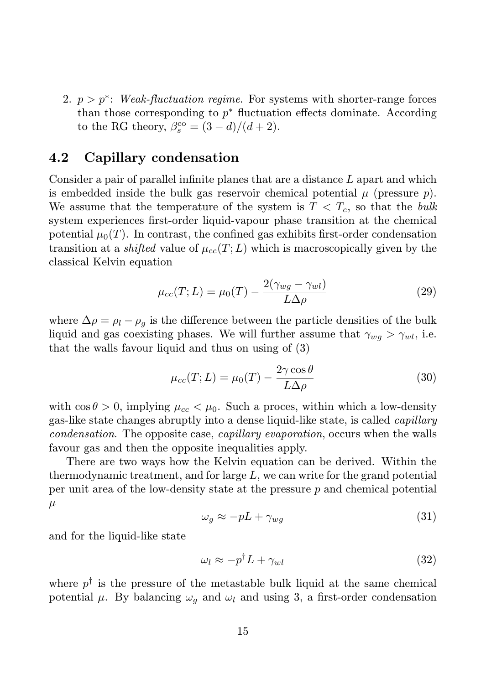2.  $p > p^*$ : Weak-fluctuation regime. For systems with shorter-range forces than those corresponding to  $p^*$  fluctuation effects dominate. According to the RG theory,  $\beta_s^{\text{co}} = (3-d)/(d+2)$ .

#### 4.2 Capillary condensation

Consider a pair of parallel infinite planes that are a distance L apart and which is embedded inside the bulk gas reservoir chemical potential  $\mu$  (pressure  $p$ ). We assume that the temperature of the system is  $T < T_c$ , so that the bulk system experiences first-order liquid-vapour phase transition at the chemical potential  $\mu_0(T)$ . In contrast, the confined gas exhibits first-order condensation transition at a *shifted* value of  $\mu_{cc}(T;L)$  which is macroscopically given by the classical Kelvin equation

$$
\mu_{cc}(T;L) = \mu_0(T) - \frac{2(\gamma_{wg} - \gamma_{wl})}{L\Delta\rho} \tag{29}
$$

where  $\Delta \rho = \rho_l - \rho_g$  is the difference between the particle densities of the bulk liquid and gas coexisting phases. We will further assume that  $\gamma_{wq} > \gamma_{wl}$ , i.e. that the walls favour liquid and thus on using of (3)

$$
\mu_{cc}(T;L) = \mu_0(T) - \frac{2\gamma \cos \theta}{L\Delta \rho} \tag{30}
$$

with  $\cos \theta > 0$ , implying  $\mu_{cc} < \mu_0$ . Such a proces, within which a low-density gas-like state changes abruptly into a dense liquid-like state, is called capillary condensation. The opposite case, capillary evaporation, occurs when the walls favour gas and then the opposite inequalities apply.

There are two ways how the Kelvin equation can be derived. Within the thermodynamic treatment, and for large L, we can write for the grand potential per unit area of the low-density state at the pressure  $p$  and chemical potential  $\mu$ 

$$
\omega_g \approx -pL + \gamma_{wg} \tag{31}
$$

and for the liquid-like state

$$
\omega_l \approx -p^\dagger L + \gamma_{wl} \tag{32}
$$

where  $p^{\dagger}$  is the pressure of the metastable bulk liquid at the same chemical potential  $\mu$ . By balancing  $\omega_q$  and  $\omega_l$  and using 3, a first-order condensation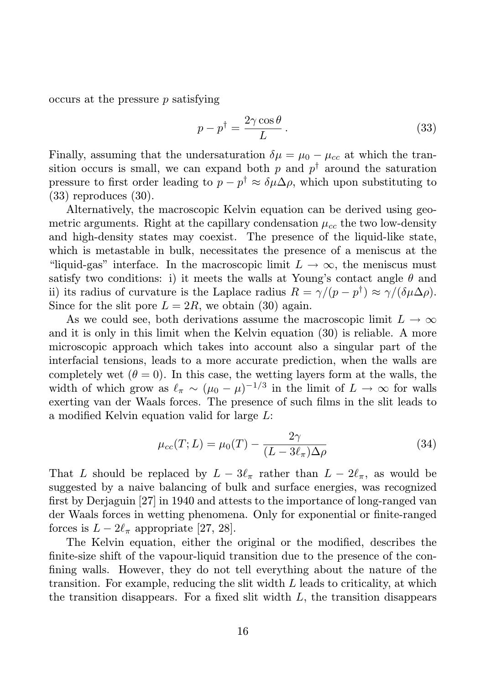$occurs at the pressure p satisfying$ 

$$
p - p^{\dagger} = \frac{2\gamma \cos \theta}{L}.
$$
 (33)

Finally, assuming that the undersaturation  $\delta \mu = \mu_0 - \mu_{cc}$  at which the transition occurs is small, we can expand both  $p$  and  $p^{\dagger}$  around the saturation pressure to first order leading to  $p - p^{\dagger} \approx \delta \mu \Delta \rho$ , which upon substituting to (33) reproduces (30).

Alternatively, the macroscopic Kelvin equation can be derived using geometric arguments. Right at the capillary condensation  $\mu_{cc}$  the two low-density and high-density states may coexist. The presence of the liquid-like state, which is metastable in bulk, necessitates the presence of a meniscus at the "liquid-gas" interface. In the macroscopic limit  $L \to \infty$ , the meniscus must satisfy two conditions: i) it meets the walls at Young's contact angle  $\theta$  and ii) its radius of curvature is the Laplace radius  $R = \gamma/(p - p^{\dagger}) \approx \gamma/(\delta \mu \Delta \rho)$ . Since for the slit pore  $L = 2R$ , we obtain (30) again.

As we could see, both derivations assume the macroscopic limit  $L \to \infty$ and it is only in this limit when the Kelvin equation (30) is reliable. A more microscopic approach which takes into account also a singular part of the interfacial tensions, leads to a more accurate prediction, when the walls are completely wet  $(\theta = 0)$ . In this case, the wetting layers form at the walls, the width of which grow as  $\ell_{\pi} \sim (\mu_0 - \mu)^{-1/3}$  in the limit of  $L \to \infty$  for walls exerting van der Waals forces. The presence of such films in the slit leads to a modified Kelvin equation valid for large L:

$$
\mu_{cc}(T;L) = \mu_0(T) - \frac{2\gamma}{(L - 3\ell_\pi)\Delta\rho} \tag{34}
$$

That L should be replaced by  $L - 3\ell_{\pi}$  rather than  $L - 2\ell_{\pi}$ , as would be suggested by a naive balancing of bulk and surface energies, was recognized first by Derjaguin [27] in 1940 and attests to the importance of long-ranged van der Waals forces in wetting phenomena. Only for exponential or finite-ranged forces is  $L - 2\ell_{\pi}$  appropriate [27, 28].

The Kelvin equation, either the original or the modified, describes the finite-size shift of the vapour-liquid transition due to the presence of the confining walls. However, they do not tell everything about the nature of the transition. For example, reducing the slit width  $L$  leads to criticality, at which the transition disappears. For a fixed slit width  $L$ , the transition disappears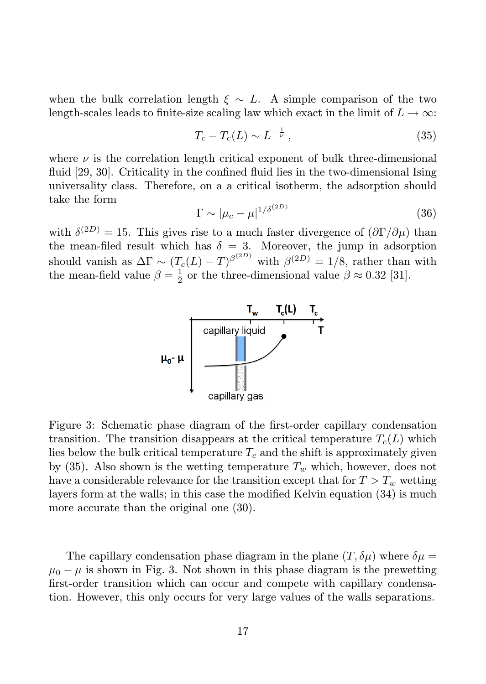when the bulk correlation length  $\xi \sim L$ . A simple comparison of the two length-scales leads to finite-size scaling law which exact in the limit of  $L \to \infty$ :

$$
T_c - T_c(L) \sim L^{-\frac{1}{\nu}}, \tag{35}
$$

where  $\nu$  is the correlation length critical exponent of bulk three-dimensional fluid [29, 30]. Criticality in the confined fluid lies in the two-dimensional Ising universality class. Therefore, on a a critical isotherm, the adsorption should take the form

$$
\Gamma \sim |\mu_c - \mu|^{1/\delta^{(2D)}} \tag{36}
$$

with  $\delta^{(2D)} = 15$ . This gives rise to a much faster divergence of  $(\partial \Gamma / \partial \mu)$  than the mean-filed result which has  $\delta = 3$ . Moreover, the jump in adsorption should vanish as  $\Delta \Gamma \sim (T_c(L) - T)^{\beta^{(2D)}}$  with  $\beta^{(2D)} = 1/8$ , rather than with the mean-field value  $\beta = \frac{1}{2}$  or the three-dimensional value  $\beta \approx 0.32$  [31].



Figure 3: Schematic phase diagram of the first-order capillary condensation transition. The transition disappears at the critical temperature  $T_c(L)$  which lies below the bulk critical temperature  $T_c$  and the shift is approximately given by (35). Also shown is the wetting temperature  $T_w$  which, however, does not have a considerable relevance for the transition except that for  $T > T_w$  wetting layers form at the walls; in this case the modified Kelvin equation (34) is much more accurate than the original one (30).

The capillary condensation phase diagram in the plane  $(T, \delta \mu)$  where  $\delta \mu =$  $\mu_0 - \mu$  is shown in Fig. 3. Not shown in this phase diagram is the prewetting first-order transition which can occur and compete with capillary condensation. However, this only occurs for very large values of the walls separations.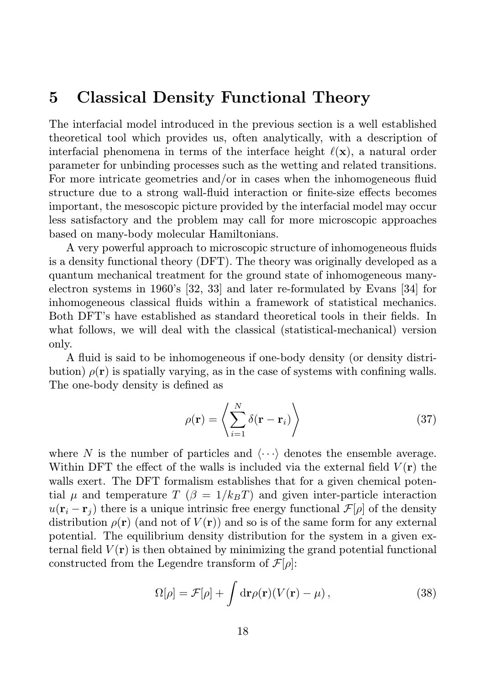### 5 Classical Density Functional Theory

The interfacial model introduced in the previous section is a well established theoretical tool which provides us, often analytically, with a description of interfacial phenomena in terms of the interface height  $\ell(\mathbf{x})$ , a natural order parameter for unbinding processes such as the wetting and related transitions. For more intricate geometries and/or in cases when the inhomogeneous fluid structure due to a strong wall-fluid interaction or finite-size effects becomes important, the mesoscopic picture provided by the interfacial model may occur less satisfactory and the problem may call for more microscopic approaches based on many-body molecular Hamiltonians.

A very powerful approach to microscopic structure of inhomogeneous fluids is a density functional theory (DFT). The theory was originally developed as a quantum mechanical treatment for the ground state of inhomogeneous manyelectron systems in 1960's [32, 33] and later re-formulated by Evans [34] for inhomogeneous classical fluids within a framework of statistical mechanics. Both DFT's have established as standard theoretical tools in their fields. In what follows, we will deal with the classical (statistical-mechanical) version only.

A fluid is said to be inhomogeneous if one-body density (or density distribution)  $\rho(\mathbf{r})$  is spatially varying, as in the case of systems with confining walls. The one-body density is defined as

$$
\rho(\mathbf{r}) = \left\langle \sum_{i=1}^{N} \delta(\mathbf{r} - \mathbf{r}_i) \right\rangle
$$
\n(37)

where N is the number of particles and  $\langle \cdots \rangle$  denotes the ensemble average. Within DFT the effect of the walls is included via the external field  $V(\mathbf{r})$  the walls exert. The DFT formalism establishes that for a given chemical potential  $\mu$  and temperature  $T$  ( $\beta = 1/k_BT$ ) and given inter-particle interaction  $u(\mathbf{r}_i - \mathbf{r}_j)$  there is a unique intrinsic free energy functional  $\mathcal{F}[\rho]$  of the density distribution  $\rho(\mathbf{r})$  (and not of  $V(\mathbf{r})$ ) and so is of the same form for any external potential. The equilibrium density distribution for the system in a given external field  $V(\mathbf{r})$  is then obtained by minimizing the grand potential functional constructed from the Legendre transform of  $\mathcal{F}[\rho]$ :

$$
\Omega[\rho] = \mathcal{F}[\rho] + \int d\mathbf{r} \rho(\mathbf{r})(V(\mathbf{r}) - \mu), \qquad (38)
$$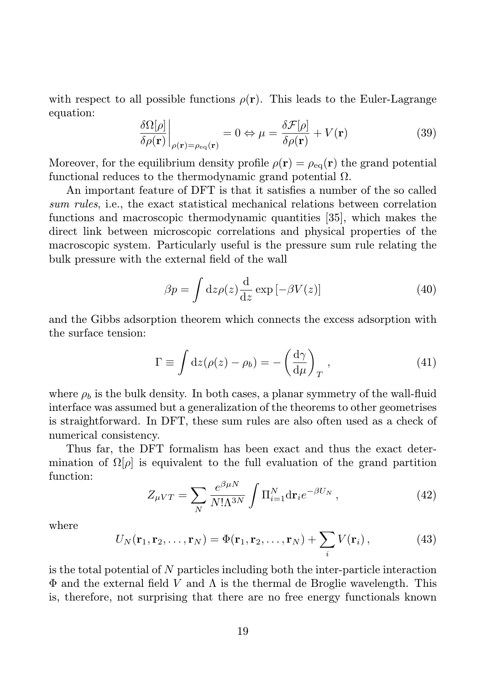with respect to all possible functions  $\rho(\mathbf{r})$ . This leads to the Euler-Lagrange equation:

$$
\frac{\delta\Omega[\rho]}{\delta\rho(\mathbf{r})}\bigg|_{\rho(\mathbf{r})=\rho_{\text{eq}}(\mathbf{r})}=0 \Leftrightarrow \mu = \frac{\delta\mathcal{F}[\rho]}{\delta\rho(\mathbf{r})} + V(\mathbf{r})\tag{39}
$$

Moreover, for the equilibrium density profile  $\rho(\mathbf{r}) = \rho_{eq}(\mathbf{r})$  the grand potential functional reduces to the thermodynamic grand potential  $\Omega$ .

An important feature of DFT is that it satisfies a number of the so called sum rules, i.e., the exact statistical mechanical relations between correlation functions and macroscopic thermodynamic quantities [35], which makes the direct link between microscopic correlations and physical properties of the macroscopic system. Particularly useful is the pressure sum rule relating the bulk pressure with the external field of the wall

$$
\beta p = \int \mathrm{d}z \rho(z) \frac{\mathrm{d}}{\mathrm{d}z} \exp\left[-\beta V(z)\right] \tag{40}
$$

and the Gibbs adsorption theorem which connects the excess adsorption with the surface tension:

$$
\Gamma \equiv \int dz (\rho(z) - \rho_b) = -\left(\frac{d\gamma}{d\mu}\right)_T, \qquad (41)
$$

where  $\rho_b$  is the bulk density. In both cases, a planar symmetry of the wall-fluid interface was assumed but a generalization of the theorems to other geometrises is straightforward. In DFT, these sum rules are also often used as a check of numerical consistency.

Thus far, the DFT formalism has been exact and thus the exact determination of  $\Omega[\rho]$  is equivalent to the full evaluation of the grand partition function:

$$
Z_{\mu VT} = \sum_N \frac{e^{\beta \mu N}}{N! \Lambda^{3N}} \int \Pi_{i=1}^N \mathrm{d} \mathbf{r}_i e^{-\beta U_N} , \qquad (42)
$$

where

$$
U_N(\mathbf{r}_1, \mathbf{r}_2, \dots, \mathbf{r}_N) = \Phi(\mathbf{r}_1, \mathbf{r}_2, \dots, \mathbf{r}_N) + \sum_i V(\mathbf{r}_i), \qquad (43)
$$

is the total potential of N particles including both the inter-particle interaction  $\Phi$  and the external field V and  $\Lambda$  is the thermal de Broglie wavelength. This is, therefore, not surprising that there are no free energy functionals known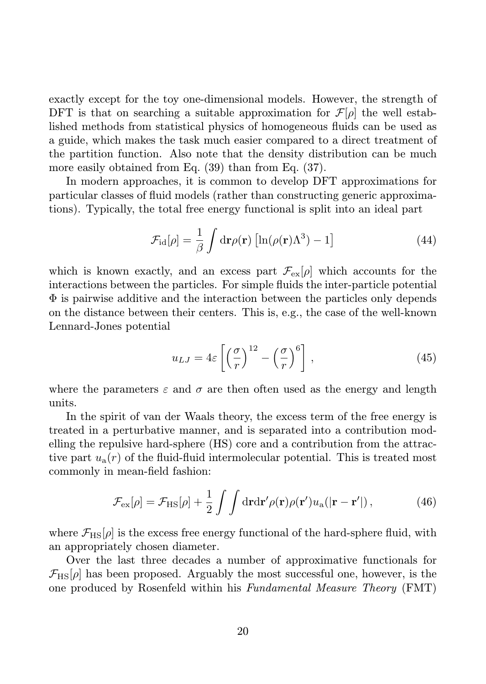exactly except for the toy one-dimensional models. However, the strength of DFT is that on searching a suitable approximation for  $\mathcal{F}[\rho]$  the well established methods from statistical physics of homogeneous fluids can be used as a guide, which makes the task much easier compared to a direct treatment of the partition function. Also note that the density distribution can be much more easily obtained from Eq. (39) than from Eq. (37).

In modern approaches, it is common to develop DFT approximations for particular classes of fluid models (rather than constructing generic approximations). Typically, the total free energy functional is split into an ideal part

$$
\mathcal{F}_{\rm id}[\rho] = \frac{1}{\beta} \int d\mathbf{r} \rho(\mathbf{r}) \left[ \ln(\rho(\mathbf{r}) \Lambda^3) - 1 \right]
$$
 (44)

which is known exactly, and an excess part  $\mathcal{F}_{ex}[\rho]$  which accounts for the interactions between the particles. For simple fluids the inter-particle potential  $\Phi$  is pairwise additive and the interaction between the particles only depends on the distance between their centers. This is, e.g., the case of the well-known Lennard-Jones potential

$$
u_{LJ} = 4\varepsilon \left[ \left( \frac{\sigma}{r} \right)^{12} - \left( \frac{\sigma}{r} \right)^{6} \right],
$$
 (45)

where the parameters  $\varepsilon$  and  $\sigma$  are then often used as the energy and length units.

In the spirit of van der Waals theory, the excess term of the free energy is treated in a perturbative manner, and is separated into a contribution modelling the repulsive hard-sphere (HS) core and a contribution from the attractive part  $u_a(r)$  of the fluid-fluid intermolecular potential. This is treated most commonly in mean-field fashion:

$$
\mathcal{F}_{\rm ex}[\rho] = \mathcal{F}_{\rm HS}[\rho] + \frac{1}{2} \int \int d\mathbf{r} d\mathbf{r}' \rho(\mathbf{r}) \rho(\mathbf{r}') u_{\rm a}(|\mathbf{r} - \mathbf{r}'|) \,, \tag{46}
$$

where  $\mathcal{F}_{\text{HS}}[\rho]$  is the excess free energy functional of the hard-sphere fluid, with an appropriately chosen diameter.

Over the last three decades a number of approximative functionals for  $\mathcal{F}_{\text{HS}}[\rho]$  has been proposed. Arguably the most successful one, however, is the one produced by Rosenfeld within his Fundamental Measure Theory (FMT)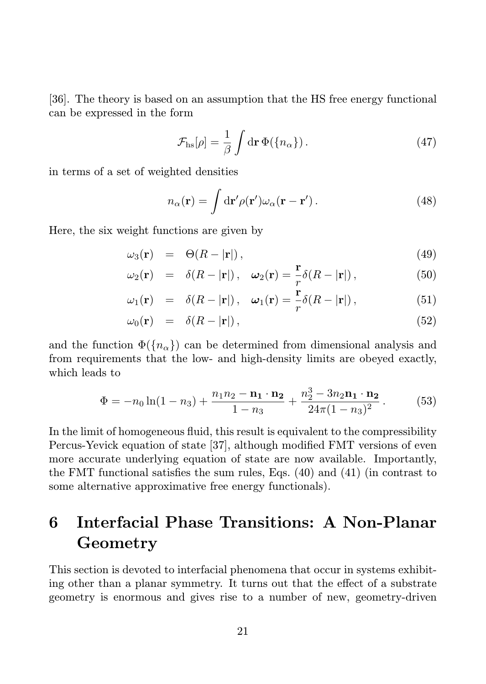[36]. The theory is based on an assumption that the HS free energy functional can be expressed in the form

$$
\mathcal{F}_{\rm hs}[\rho] = \frac{1}{\beta} \int \mathrm{d} \mathbf{r} \, \Phi(\{n_\alpha\}) \,. \tag{47}
$$

in terms of a set of weighted densities

$$
n_{\alpha}(\mathbf{r}) = \int d\mathbf{r}' \rho(\mathbf{r}') \omega_{\alpha}(\mathbf{r} - \mathbf{r}'). \qquad (48)
$$

Here, the six weight functions are given by

$$
\omega_3(\mathbf{r}) = \Theta(R - |\mathbf{r}|), \qquad (49)
$$

$$
\omega_2(\mathbf{r}) = \delta(R - |\mathbf{r}|), \quad \omega_2(\mathbf{r}) = \frac{\mathbf{r}}{r} \delta(R - |\mathbf{r}|), \tag{50}
$$

$$
\omega_1(\mathbf{r}) = \delta(R - |\mathbf{r}|), \quad \omega_1(\mathbf{r}) = \frac{\mathbf{r}}{r} \delta(R - |\mathbf{r}|), \tag{51}
$$

$$
\omega_0(\mathbf{r}) = \delta(R - |\mathbf{r}|), \qquad (52)
$$

and the function  $\Phi({n_{\alpha}})$  can be determined from dimensional analysis and from requirements that the low- and high-density limits are obeyed exactly, which leads to

$$
\Phi = -n_0 \ln(1 - n_3) + \frac{n_1 n_2 - \mathbf{n_1} \cdot \mathbf{n_2}}{1 - n_3} + \frac{n_2^3 - 3n_2 \mathbf{n_1} \cdot \mathbf{n_2}}{24\pi (1 - n_3)^2}.
$$
 (53)

In the limit of homogeneous fluid, this result is equivalent to the compressibility Percus-Yevick equation of state [37], although modified FMT versions of even more accurate underlying equation of state are now available. Importantly, the FMT functional satisfies the sum rules, Eqs. (40) and (41) (in contrast to some alternative approximative free energy functionals).

## 6 Interfacial Phase Transitions: A Non-Planar Geometry

This section is devoted to interfacial phenomena that occur in systems exhibiting other than a planar symmetry. It turns out that the effect of a substrate geometry is enormous and gives rise to a number of new, geometry-driven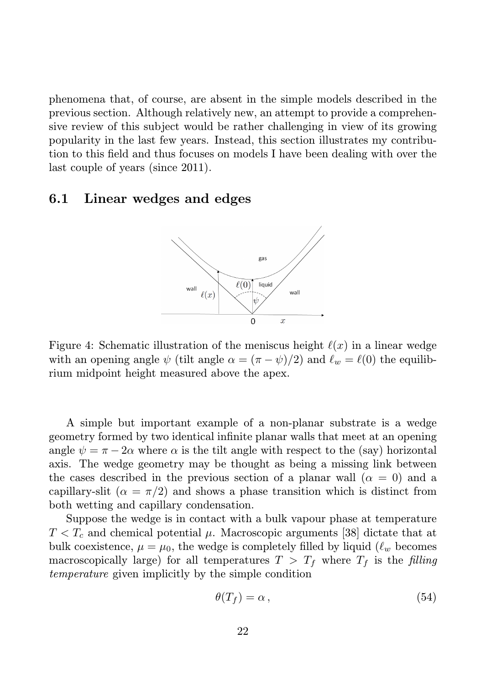phenomena that, of course, are absent in the simple models described in the previous section. Although relatively new, an attempt to provide a comprehensive review of this subject would be rather challenging in view of its growing popularity in the last few years. Instead, this section illustrates my contribution to this field and thus focuses on models I have been dealing with over the last couple of years (since 2011).

#### 6.1 Linear wedges and edges



Figure 4: Schematic illustration of the meniscus height  $\ell(x)$  in a linear wedge with an opening angle  $\psi$  (tilt angle  $\alpha = (\pi - \psi)/2$ ) and  $\ell_w = \ell(0)$  the equilibrium midpoint height measured above the apex.

A simple but important example of a non-planar substrate is a wedge geometry formed by two identical infinite planar walls that meet at an opening angle  $\psi = \pi - 2\alpha$  where  $\alpha$  is the tilt angle with respect to the (say) horizontal axis. The wedge geometry may be thought as being a missing link between the cases described in the previous section of a planar wall  $(\alpha = 0)$  and a capillary-slit ( $\alpha = \pi/2$ ) and shows a phase transition which is distinct from both wetting and capillary condensation.

Suppose the wedge is in contact with a bulk vapour phase at temperature  $T < T_c$  and chemical potential  $\mu$ . Macroscopic arguments [38] dictate that at bulk coexistence,  $\mu = \mu_0$ , the wedge is completely filled by liquid  $(\ell_w$  becomes macroscopically large) for all temperatures  $T > T_f$  where  $T_f$  is the filling temperature given implicitly by the simple condition

$$
\theta(T_f) = \alpha \,,\tag{54}
$$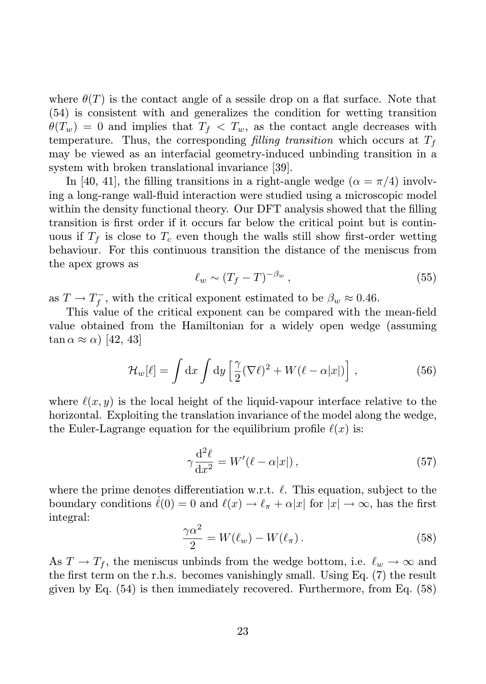where  $\theta(T)$  is the contact angle of a sessile drop on a flat surface. Note that (54) is consistent with and generalizes the condition for wetting transition  $\theta(T_w) = 0$  and implies that  $T_f < T_w$ , as the contact angle decreases with temperature. Thus, the corresponding filling transition which occurs at  $T_f$ may be viewed as an interfacial geometry-induced unbinding transition in a system with broken translational invariance [39].

In [40, 41], the filling transitions in a right-angle wedge  $(\alpha = \pi/4)$  involving a long-range wall-fluid interaction were studied using a microscopic model within the density functional theory. Our DFT analysis showed that the filling transition is first order if it occurs far below the critical point but is continuous if  $T_f$  is close to  $T_c$  even though the walls still show first-order wetting behaviour. For this continuous transition the distance of the meniscus from the apex grows as

$$
\ell_w \sim (T_f - T)^{-\beta_w},\tag{55}
$$

as  $T \to T_f^-$ , with the critical exponent estimated to be  $\beta_w \approx 0.46$ .

This value of the critical exponent can be compared with the mean-field value obtained from the Hamiltonian for a widely open wedge (assuming  $\tan \alpha \approx \alpha$ ) [42, 43]

$$
\mathcal{H}_w[\ell] = \int \mathrm{d}x \int \mathrm{d}y \left[ \frac{\gamma}{2} (\nabla \ell)^2 + W(\ell - \alpha |x|) \right],\tag{56}
$$

where  $\ell(x, y)$  is the local height of the liquid-vapour interface relative to the horizontal. Exploiting the translation invariance of the model along the wedge, the Euler-Lagrange equation for the equilibrium profile  $\ell(x)$  is:

$$
\gamma \frac{\mathrm{d}^2 \ell}{\mathrm{d} x^2} = W'(\ell - \alpha |x|) \,,\tag{57}
$$

where the prime denotes differentiation w.r.t.  $\ell$ . This equation, subject to the boundary conditions  $\ell(0) = 0$  and  $\ell(x) \to \ell_{\pi} + \alpha |x|$  for  $|x| \to \infty$ , has the first integral:

$$
\frac{\gamma \alpha^2}{2} = W(\ell_w) - W(\ell_\pi). \tag{58}
$$

As  $T \to T_f$ , the meniscus unbinds from the wedge bottom, i.e.  $\ell_w \to \infty$  and the first term on the r.h.s. becomes vanishingly small. Using Eq. (7) the result given by Eq. (54) is then immediately recovered. Furthermore, from Eq. (58)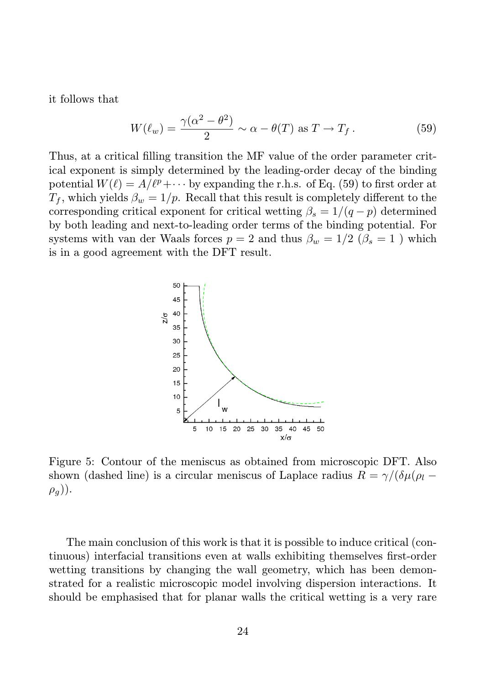it follows that

$$
W(\ell_w) = \frac{\gamma(\alpha^2 - \theta^2)}{2} \sim \alpha - \theta(T) \text{ as } T \to T_f.
$$
 (59)

Thus, at a critical filling transition the MF value of the order parameter critical exponent is simply determined by the leading-order decay of the binding potential  $W(\ell) = A/\ell^p + \cdots$  by expanding the r.h.s. of Eq. (59) to first order at  $T_f$ , which yields  $\beta_w = 1/p$ . Recall that this result is completely different to the corresponding critical exponent for critical wetting  $\beta_s = 1/(q - p)$  determined by both leading and next-to-leading order terms of the binding potential. For systems with van der Waals forces  $p = 2$  and thus  $\beta_w = 1/2$  ( $\beta_s = 1$ ) which is in a good agreement with the DFT result.



Figure 5: Contour of the meniscus as obtained from microscopic DFT. Also shown (dashed line) is a circular meniscus of Laplace radius  $R = \gamma/(\delta \mu/\rho_l (\rho_a)$ ).

The main conclusion of this work is that it is possible to induce critical (continuous) interfacial transitions even at walls exhibiting themselves first-order wetting transitions by changing the wall geometry, which has been demonstrated for a realistic microscopic model involving dispersion interactions. It should be emphasised that for planar walls the critical wetting is a very rare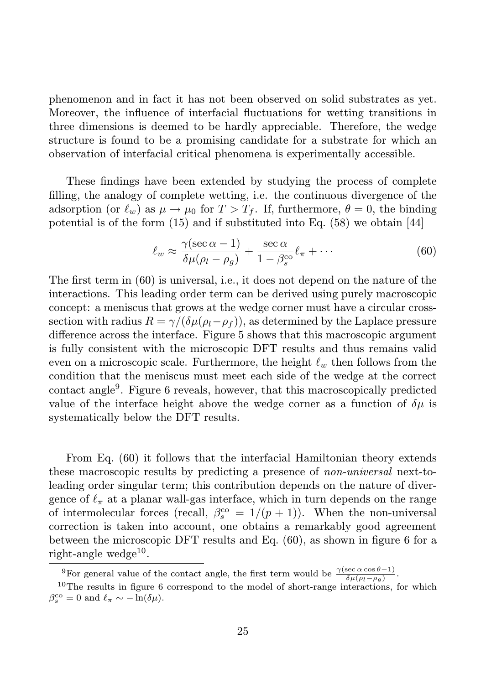phenomenon and in fact it has not been observed on solid substrates as yet. Moreover, the influence of interfacial fluctuations for wetting transitions in three dimensions is deemed to be hardly appreciable. Therefore, the wedge structure is found to be a promising candidate for a substrate for which an observation of interfacial critical phenomena is experimentally accessible.

These findings have been extended by studying the process of complete filling, the analogy of complete wetting, i.e. the continuous divergence of the adsorption (or  $\ell_w$ ) as  $\mu \to \mu_0$  for  $T > T_f$ . If, furthermore,  $\theta = 0$ , the binding potential is of the form  $(15)$  and if substituted into Eq.  $(58)$  we obtain  $|44|$ 

$$
\ell_w \approx \frac{\gamma(\sec \alpha - 1)}{\delta \mu(\rho_l - \rho_g)} + \frac{\sec \alpha}{1 - \beta_s^{\text{co}}} \ell_\pi + \cdots \tag{60}
$$

The first term in (60) is universal, i.e., it does not depend on the nature of the interactions. This leading order term can be derived using purely macroscopic concept: a meniscus that grows at the wedge corner must have a circular crosssection with radius  $R = \gamma/(\delta \mu(\rho_l - \rho_f))$ , as determined by the Laplace pressure difference across the interface. Figure 5 shows that this macroscopic argument is fully consistent with the microscopic DFT results and thus remains valid even on a microscopic scale. Furthermore, the height  $\ell_w$  then follows from the condition that the meniscus must meet each side of the wedge at the correct contact angle<sup>9</sup>. Figure 6 reveals, however, that this macroscopically predicted value of the interface height above the wedge corner as a function of  $\delta\mu$  is systematically below the DFT results.

From Eq. (60) it follows that the interfacial Hamiltonian theory extends these macroscopic results by predicting a presence of non-universal next-toleading order singular term; this contribution depends on the nature of divergence of  $\ell_{\pi}$  at a planar wall-gas interface, which in turn depends on the range of intermolecular forces (recall,  $\beta_s^{\rm co} = 1/(p+1)$ ). When the non-universal correction is taken into account, one obtains a remarkably good agreement between the microscopic DFT results and Eq. (60), as shown in figure 6 for a  $right$ -angle wedge<sup>10</sup>.

<sup>&</sup>lt;sup>9</sup>For general value of the contact angle, the first term would be  $\frac{\gamma(\sec \alpha \cos \theta - 1)}{\delta \mu(\rho_l - \rho_g)}$ .

<sup>&</sup>lt;sup>10</sup>The results in figure 6 correspond to the model of short-range interactions, for which  $\beta_s^{\rm co} = 0$  and  $\ell_\pi \sim -\ln(\delta \mu)$ .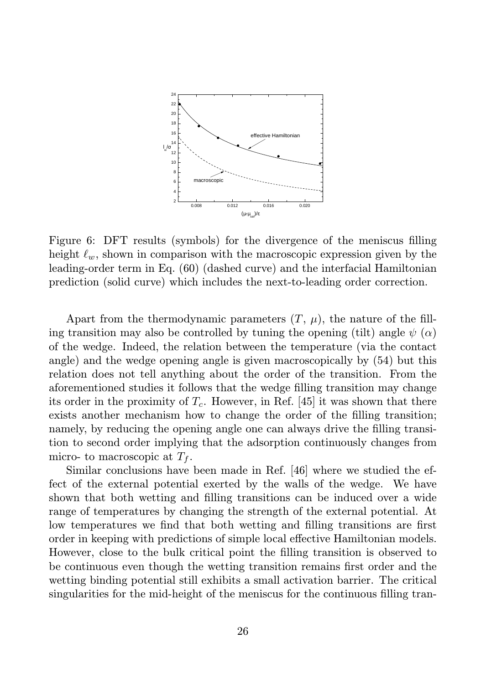

Figure 6: DFT results (symbols) for the divergence of the meniscus filling height  $\ell_w$ , shown in comparison with the macroscopic expression given by the leading-order term in Eq. (60) (dashed curve) and the interfacial Hamiltonian prediction (solid curve) which includes the next-to-leading order correction.

Apart from the thermodynamic parameters  $(T, \mu)$ , the nature of the filling transition may also be controlled by tuning the opening (tilt) angle  $\psi(\alpha)$ of the wedge. Indeed, the relation between the temperature (via the contact angle) and the wedge opening angle is given macroscopically by (54) but this relation does not tell anything about the order of the transition. From the aforementioned studies it follows that the wedge filling transition may change its order in the proximity of  $T_c$ . However, in Ref. [45] it was shown that there exists another mechanism how to change the order of the filling transition; namely, by reducing the opening angle one can always drive the filling transition to second order implying that the adsorption continuously changes from micro- to macroscopic at  $T_f$ .

Similar conclusions have been made in Ref. [46] where we studied the effect of the external potential exerted by the walls of the wedge. We have shown that both wetting and filling transitions can be induced over a wide range of temperatures by changing the strength of the external potential. At low temperatures we find that both wetting and filling transitions are first order in keeping with predictions of simple local effective Hamiltonian models. However, close to the bulk critical point the filling transition is observed to be continuous even though the wetting transition remains first order and the wetting binding potential still exhibits a small activation barrier. The critical singularities for the mid-height of the meniscus for the continuous filling tran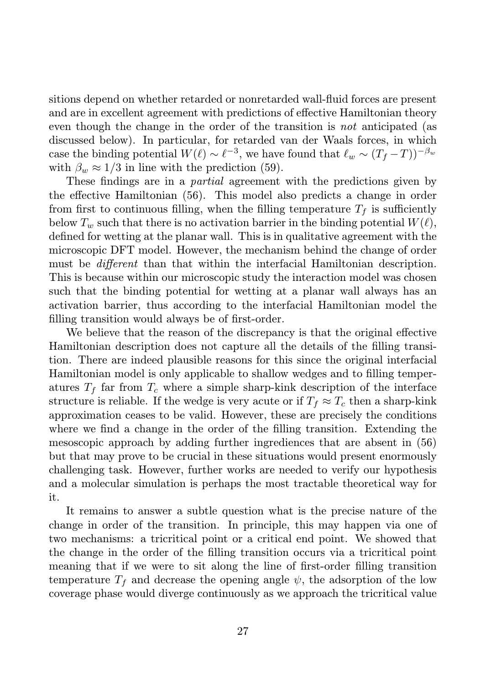sitions depend on whether retarded or nonretarded wall-fluid forces are present and are in excellent agreement with predictions of effective Hamiltonian theory even though the change in the order of the transition is not anticipated (as discussed below). In particular, for retarded van der Waals forces, in which case the binding potential  $W(\ell) \sim \ell^{-3}$ , we have found that  $\ell_w \sim (T_f - T))^{-\beta_w}$ with  $\beta_w \approx 1/3$  in line with the prediction (59).

These findings are in a partial agreement with the predictions given by the effective Hamiltonian (56). This model also predicts a change in order from first to continuous filling, when the filling temperature  $T_f$  is sufficiently below  $T_w$  such that there is no activation barrier in the binding potential  $W(\ell)$ , defined for wetting at the planar wall. This is in qualitative agreement with the microscopic DFT model. However, the mechanism behind the change of order must be different than that within the interfacial Hamiltonian description. This is because within our microscopic study the interaction model was chosen such that the binding potential for wetting at a planar wall always has an activation barrier, thus according to the interfacial Hamiltonian model the filling transition would always be of first-order.

We believe that the reason of the discrepancy is that the original effective Hamiltonian description does not capture all the details of the filling transition. There are indeed plausible reasons for this since the original interfacial Hamiltonian model is only applicable to shallow wedges and to filling temperatures  $T_f$  far from  $T_c$  where a simple sharp-kink description of the interface structure is reliable. If the wedge is very acute or if  $T_f \approx T_c$  then a sharp-kink approximation ceases to be valid. However, these are precisely the conditions where we find a change in the order of the filling transition. Extending the mesoscopic approach by adding further ingrediences that are absent in (56) but that may prove to be crucial in these situations would present enormously challenging task. However, further works are needed to verify our hypothesis and a molecular simulation is perhaps the most tractable theoretical way for it.

It remains to answer a subtle question what is the precise nature of the change in order of the transition. In principle, this may happen via one of two mechanisms: a tricritical point or a critical end point. We showed that the change in the order of the filling transition occurs via a tricritical point meaning that if we were to sit along the line of first-order filling transition temperature  $T_f$  and decrease the opening angle  $\psi$ , the adsorption of the low coverage phase would diverge continuously as we approach the tricritical value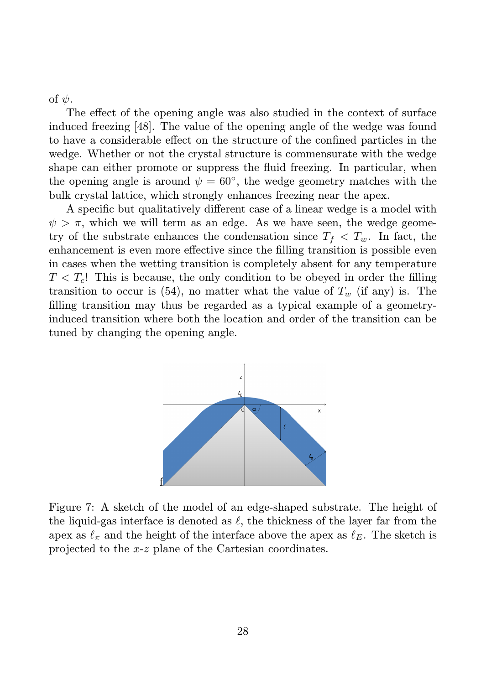of  $\psi$ .

The effect of the opening angle was also studied in the context of surface induced freezing [48]. The value of the opening angle of the wedge was found to have a considerable effect on the structure of the confined particles in the wedge. Whether or not the crystal structure is commensurate with the wedge shape can either promote or suppress the fluid freezing. In particular, when the opening angle is around  $\psi = 60^{\circ}$ , the wedge geometry matches with the bulk crystal lattice, which strongly enhances freezing near the apex.

A specific but qualitatively different case of a linear wedge is a model with  $\psi > \pi$ , which we will term as an edge. As we have seen, the wedge geometry of the substrate enhances the condensation since  $T_f < T_w$ . In fact, the enhancement is even more effective since the filling transition is possible even in cases when the wetting transition is completely absent for any temperature  $T < T<sub>c</sub>$ ! This is because, the only condition to be obeyed in order the filling transition to occur is (54), no matter what the value of  $T_w$  (if any) is. The filling transition may thus be regarded as a typical example of a geometryinduced transition where both the location and order of the transition can be tuned by changing the opening angle.



Figure 7: A sketch of the model of an edge-shaped substrate. The height of the liquid-gas interface is denoted as  $\ell$ , the thickness of the layer far from the apex as  $\ell_{\pi}$  and the height of the interface above the apex as  $\ell_{E}$ . The sketch is projected to the x-z plane of the Cartesian coordinates.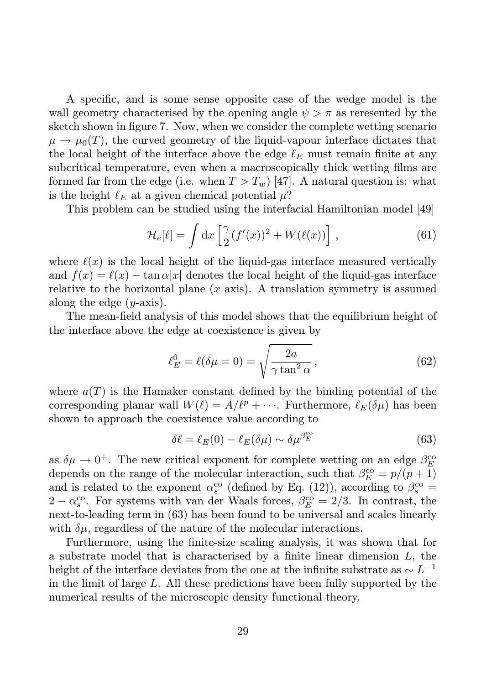A specific, and is some sense opposite case of the wedge model is the wall geometry characterised by the opening angle  $\psi > \pi$  as reresented by the sketch shown in figure 7. Now, when we consider the complete wetting scenario  $\mu \to \mu_0(T)$ , the curved geometry of the liquid-vapour interface dictates that the local height of the interface above the edge  $\ell_E$  must remain finite at any subcritical temperature, even when a macroscopically thick wetting films are formed far from the edge (i.e. when  $T > T_w$ ) [47]. A natural question is: what is the height  $\ell_E$  at a given chemical potential  $\mu$ ?

This problem can be studied using the interfacial Hamiltonian model [49]

$$
\mathcal{H}_e[\ell] = \int \mathrm{d}x \left[ \frac{\gamma}{2} (f'(x))^2 + W(\ell(x)) \right], \tag{61}
$$

where  $\ell(x)$  is the local height of the liquid-gas interface measured vertically and  $f(x) = \ell(x) - \tan \alpha |x|$  denotes the local height of the liquid-gas interface relative to the horizontal plane  $(x \text{ axis})$ . A translation symmetry is assumed along the edge  $(y\text{-axis})$ .

The mean-field analysis of this model shows that the equilibrium height of the interface above the edge at coexistence is given by

$$
\ell_E^0 = \ell(\delta \mu = 0) = \sqrt{\frac{2a}{\gamma \tan^2 \alpha}},\tag{62}
$$

where  $a(T)$  is the Hamaker constant defined by the binding potential of the corresponding planar wall  $W(\ell) = A/\ell^p + \cdots$ . Furthermore,  $\ell_E(\delta\mu)$  has been shown to approach the coexistence value according to

$$
\delta \ell = \ell_E(0) - \ell_E(\delta \mu) \sim \delta \mu^{\beta_E^{\text{co}}} \tag{63}
$$

as  $\delta \mu \to 0^+$ . The new critical exponent for complete wetting on an edge  $\beta_E^{\text{co}}$ depends on the range of the molecular interaction, such that  $\beta_E^{\rm co} = p/(p+1)$ and is related to the exponent  $\alpha_s^{\rm co}$  (defined by Eq. (12)), according to  $\beta_s^{\rm co} =$  $2 - \alpha_s^{\rm co}$ . For systems with van der Waals forces,  $\beta_E^{\rm co} = 2/3$ . In contrast, the next-to-leading term in (63) has been found to be universal and scales linearly with  $\delta\mu$ , regardless of the nature of the molecular interactions.

Furthermore, using the finite-size scaling analysis, it was shown that for a substrate model that is characterised by a finite linear dimension L, the height of the interface deviates from the one at the infinite substrate as  $\sim L^{-1}$ in the limit of large L. All these predictions have been fully supported by the numerical results of the microscopic density functional theory.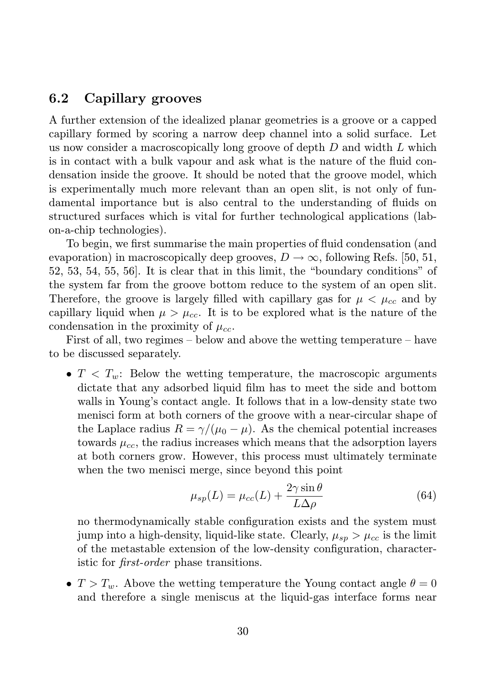### 6.2 Capillary grooves

A further extension of the idealized planar geometries is a groove or a capped capillary formed by scoring a narrow deep channel into a solid surface. Let us now consider a macroscopically long groove of depth  $D$  and width  $L$  which is in contact with a bulk vapour and ask what is the nature of the fluid condensation inside the groove. It should be noted that the groove model, which is experimentally much more relevant than an open slit, is not only of fundamental importance but is also central to the understanding of fluids on structured surfaces which is vital for further technological applications (labon-a-chip technologies).

To begin, we first summarise the main properties of fluid condensation (and evaporation) in macroscopically deep grooves,  $D \to \infty$ , following Refs. [50, 51, 52, 53, 54, 55, 56]. It is clear that in this limit, the "boundary conditions" of the system far from the groove bottom reduce to the system of an open slit. Therefore, the groove is largely filled with capillary gas for  $\mu < \mu_{cc}$  and by capillary liquid when  $\mu > \mu_{cc}$ . It is to be explored what is the nature of the condensation in the proximity of  $\mu_{cc}$ .

First of all, two regimes – below and above the wetting temperature – have to be discussed separately.

•  $T < T_w$ : Below the wetting temperature, the macroscopic arguments dictate that any adsorbed liquid film has to meet the side and bottom walls in Young's contact angle. It follows that in a low-density state two menisci form at both corners of the groove with a near-circular shape of the Laplace radius  $R = \gamma/(\mu_0 - \mu)$ . As the chemical potential increases towards  $\mu_{cc}$ , the radius increases which means that the adsorption layers at both corners grow. However, this process must ultimately terminate when the two menisci merge, since beyond this point

$$
\mu_{sp}(L) = \mu_{cc}(L) + \frac{2\gamma \sin \theta}{L\Delta \rho} \tag{64}
$$

no thermodynamically stable configuration exists and the system must jump into a high-density, liquid-like state. Clearly,  $\mu_{sn} > \mu_{cc}$  is the limit of the metastable extension of the low-density configuration, characteristic for first-order phase transitions.

•  $T > T_w$ . Above the wetting temperature the Young contact angle  $\theta = 0$ and therefore a single meniscus at the liquid-gas interface forms near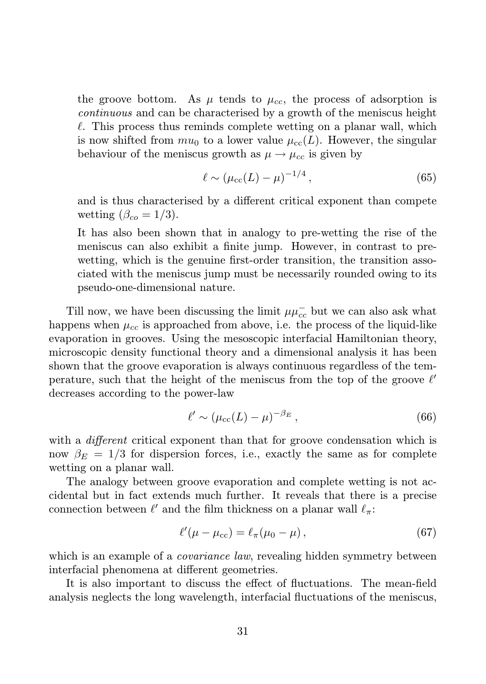the groove bottom. As  $\mu$  tends to  $\mu_{cc}$ , the process of adsorption is continuous and can be characterised by a growth of the meniscus height  $\ell$ . This process thus reminds complete wetting on a planar wall, which is now shifted from  $mu_0$  to a lower value  $\mu_{cc}(L)$ . However, the singular behaviour of the meniscus growth as  $\mu \rightarrow \mu_{cc}$  is given by

$$
\ell \sim (\mu_{\rm cc}(L) - \mu)^{-1/4},\tag{65}
$$

and is thus characterised by a different critical exponent than compete wetting  $(\beta_{co} = 1/3)$ .

It has also been shown that in analogy to pre-wetting the rise of the meniscus can also exhibit a finite jump. However, in contrast to prewetting, which is the genuine first-order transition, the transition associated with the meniscus jump must be necessarily rounded owing to its pseudo-one-dimensional nature.

Till now, we have been discussing the limit  $\mu\mu_{cc}^-$  but we can also ask what happens when  $\mu_{cc}$  is approached from above, i.e. the process of the liquid-like evaporation in grooves. Using the mesoscopic interfacial Hamiltonian theory, microscopic density functional theory and a dimensional analysis it has been shown that the groove evaporation is always continuous regardless of the temperature, such that the height of the meniscus from the top of the groove  $\ell'$ decreases according to the power-law

$$
\ell' \sim (\mu_{\rm cc}(L) - \mu)^{-\beta_E},\tag{66}
$$

with a *different* critical exponent than that for groove condensation which is now  $\beta_E = 1/3$  for dispersion forces, i.e., exactly the same as for complete wetting on a planar wall.

The analogy between groove evaporation and complete wetting is not accidental but in fact extends much further. It reveals that there is a precise connection between  $\ell'$  and the film thickness on a planar wall  $\ell_{\pi}$ :

$$
\ell'(\mu - \mu_{\rm cc}) = \ell_{\pi}(\mu_0 - \mu), \qquad (67)
$$

which is an example of a *covariance law*, revealing hidden symmetry between interfacial phenomena at different geometries.

It is also important to discuss the effect of fluctuations. The mean-field analysis neglects the long wavelength, interfacial fluctuations of the meniscus,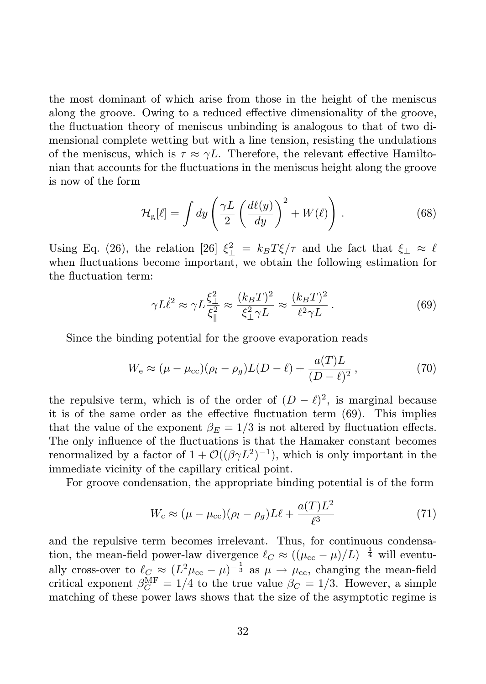the most dominant of which arise from those in the height of the meniscus along the groove. Owing to a reduced effective dimensionality of the groove, the fluctuation theory of meniscus unbinding is analogous to that of two dimensional complete wetting but with a line tension, resisting the undulations of the meniscus, which is  $\tau \approx \gamma L$ . Therefore, the relevant effective Hamiltonian that accounts for the fluctuations in the meniscus height along the groove is now of the form

$$
\mathcal{H}_{g}[\ell] = \int dy \left( \frac{\gamma L}{2} \left( \frac{d\ell(y)}{dy} \right)^2 + W(\ell) \right). \tag{68}
$$

Using Eq. (26), the relation [26]  $\xi_{\perp}^2 = k_B T \xi / \tau$  and the fact that  $\xi_{\perp} \approx \ell$ when fluctuations become important, we obtain the following estimation for the fluctuation term:

$$
\gamma L\dot{\ell}^2 \approx \gamma L \frac{\xi_{\perp}^2}{\xi_{\parallel}^2} \approx \frac{(k_B T)^2}{\xi_{\perp}^2 \gamma L} \approx \frac{(k_B T)^2}{\ell^2 \gamma L} \,. \tag{69}
$$

Since the binding potential for the groove evaporation reads

$$
W_{\rm e} \approx (\mu - \mu_{\rm cc})(\rho_l - \rho_g)L(D - \ell) + \frac{a(T)L}{(D - \ell)^2},
$$
\n(70)

the repulsive term, which is of the order of  $(D - \ell)^2$ , is marginal because it is of the same order as the effective fluctuation term (69). This implies that the value of the exponent  $\beta_E = 1/3$  is not altered by fluctuation effects. The only influence of the fluctuations is that the Hamaker constant becomes renormalized by a factor of  $1 + \mathcal{O}((\beta \gamma L^2)^{-1})$ , which is only important in the immediate vicinity of the capillary critical point.

For groove condensation, the appropriate binding potential is of the form

$$
W_{\rm c} \approx (\mu - \mu_{\rm cc})(\rho_l - \rho_g)L\ell + \frac{a(T)L^2}{\ell^3} \tag{71}
$$

and the repulsive term becomes irrelevant. Thus, for continuous condensation, the mean-field power-law divergence  $\ell_C \approx ((\mu_{cc} - \mu)/L)^{-\frac{1}{4}}$  will eventually cross-over to  $\ell_C \approx (L^2 \mu_{cc} - \mu)^{-\frac{1}{3}}$  as  $\mu \to \mu_{cc}$ , changing the mean-field critical exponent  $\beta_C^{\text{MF}} = 1/4$  to the true value  $\beta_C = 1/3$ . However, a simple matching of these power laws shows that the size of the asymptotic regime is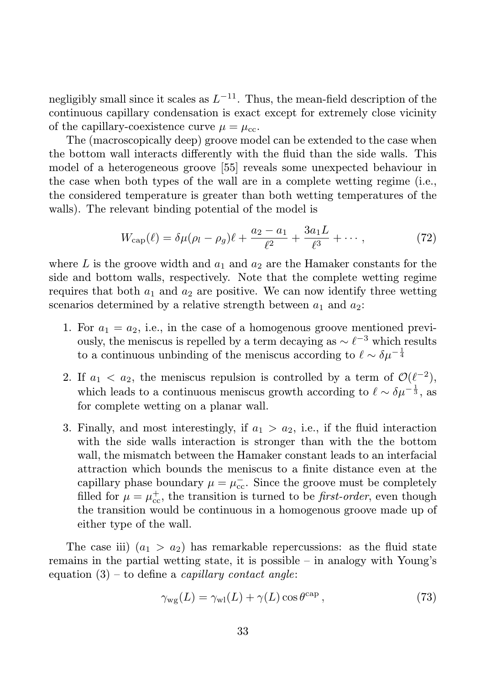negligibly small since it scales as  $L^{-11}$ . Thus, the mean-field description of the continuous capillary condensation is exact except for extremely close vicinity of the capillary-coexistence curve  $\mu = \mu_{cc}$ .

The (macroscopically deep) groove model can be extended to the case when the bottom wall interacts differently with the fluid than the side walls. This model of a heterogeneous groove [55] reveals some unexpected behaviour in the case when both types of the wall are in a complete wetting regime (i.e., the considered temperature is greater than both wetting temperatures of the walls). The relevant binding potential of the model is

$$
W_{\rm cap}(\ell) = \delta \mu (\rho_l - \rho_g) \ell + \frac{a_2 - a_1}{\ell^2} + \frac{3a_1 L}{\ell^3} + \cdots, \qquad (72)
$$

where L is the groove width and  $a_1$  and  $a_2$  are the Hamaker constants for the side and bottom walls, respectively. Note that the complete wetting regime requires that both  $a_1$  and  $a_2$  are positive. We can now identify three wetting scenarios determined by a relative strength between  $a_1$  and  $a_2$ :

- 1. For  $a_1 = a_2$ , i.e., in the case of a homogenous groove mentioned previously, the meniscus is repelled by a term decaying as  $\sim \ell^{-3}$  which results to a continuous unbinding of the meniscus according to  $\ell \sim \delta \mu^{-\frac{1}{4}}$
- 2. If  $a_1 < a_2$ , the meniscus repulsion is controlled by a term of  $\mathcal{O}(\ell^{-2})$ , which leads to a continuous meniscus growth according to  $\ell \sim \delta \mu^{-\frac{1}{3}}$ , as for complete wetting on a planar wall.
- 3. Finally, and most interestingly, if  $a_1 > a_2$ , i.e., if the fluid interaction with the side walls interaction is stronger than with the the bottom wall, the mismatch between the Hamaker constant leads to an interfacial attraction which bounds the meniscus to a finite distance even at the capillary phase boundary  $\mu = \mu_{cc}^-$ . Since the groove must be completely filled for  $\mu = \mu_{\rm cc}^+$ , the transition is turned to be *first-order*, even though the transition would be continuous in a homogenous groove made up of either type of the wall.

The case iii)  $(a_1 > a_2)$  has remarkable repercussions: as the fluid state remains in the partial wetting state, it is possible – in analogy with Young's equation  $(3)$  – to define a *capillary contact angle*:

$$
\gamma_{\rm wg}(L) = \gamma_{\rm wf}(L) + \gamma(L) \cos \theta^{\rm cap} \,, \tag{73}
$$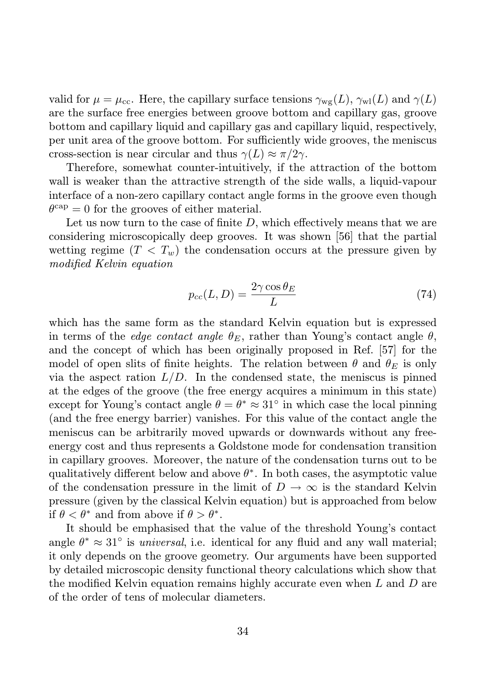valid for  $\mu = \mu_{\text{cc}}$ . Here, the capillary surface tensions  $\gamma_{\text{wg}}(L)$ ,  $\gamma_{\text{wl}}(L)$  and  $\gamma(L)$ are the surface free energies between groove bottom and capillary gas, groove bottom and capillary liquid and capillary gas and capillary liquid, respectively, per unit area of the groove bottom. For sufficiently wide grooves, the meniscus cross-section is near circular and thus  $\gamma(L) \approx \pi/2\gamma$ .

Therefore, somewhat counter-intuitively, if the attraction of the bottom wall is weaker than the attractive strength of the side walls, a liquid-vapour interface of a non-zero capillary contact angle forms in the groove even though  $\theta^{\text{cap}} = 0$  for the grooves of either material.

Let us now turn to the case of finite  $D$ , which effectively means that we are considering microscopically deep grooves. It was shown [56] that the partial wetting regime  $(T < T_w)$  the condensation occurs at the pressure given by modified Kelvin equation

$$
p_{cc}(L,D) = \frac{2\gamma \cos \theta_E}{L} \tag{74}
$$

which has the same form as the standard Kelvin equation but is expressed in terms of the *edge contact angle*  $\theta_E$ , rather than Young's contact angle  $\theta$ , and the concept of which has been originally proposed in Ref. [57] for the model of open slits of finite heights. The relation between  $\theta$  and  $\theta_E$  is only via the aspect ration  $L/D$ . In the condensed state, the meniscus is pinned at the edges of the groove (the free energy acquires a minimum in this state) except for Young's contact angle  $\theta = \theta^* \approx 31^\circ$  in which case the local pinning (and the free energy barrier) vanishes. For this value of the contact angle the meniscus can be arbitrarily moved upwards or downwards without any freeenergy cost and thus represents a Goldstone mode for condensation transition in capillary grooves. Moreover, the nature of the condensation turns out to be qualitatively different below and above  $\theta^*$ . In both cases, the asymptotic value of the condensation pressure in the limit of  $D \to \infty$  is the standard Kelvin pressure (given by the classical Kelvin equation) but is approached from below if  $\theta < \theta^*$  and from above if  $\theta > \theta^*$ .

It should be emphasised that the value of the threshold Young's contact angle  $\theta^* \approx 31^\circ$  is *universal*, i.e. identical for any fluid and any wall material; it only depends on the groove geometry. Our arguments have been supported by detailed microscopic density functional theory calculations which show that the modified Kelvin equation remains highly accurate even when L and D are of the order of tens of molecular diameters.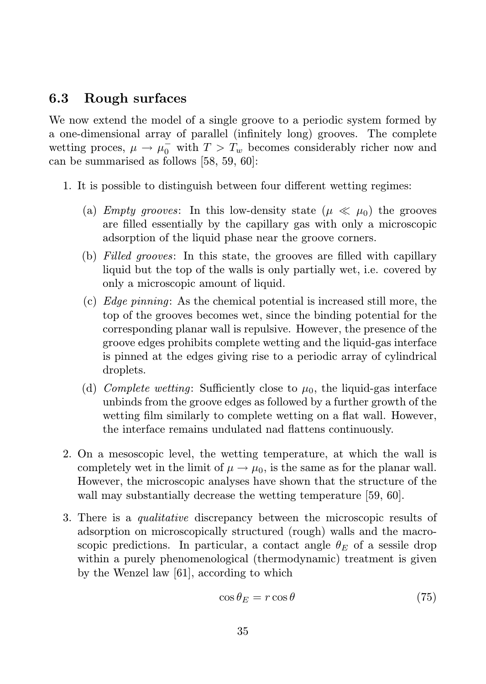### 6.3 Rough surfaces

We now extend the model of a single groove to a periodic system formed by a one-dimensional array of parallel (infinitely long) grooves. The complete wetting proces,  $\mu \to \mu_0^-$  with  $T > T_w$  becomes considerably richer now and can be summarised as follows [58, 59, 60]:

- 1. It is possible to distinguish between four different wetting regimes:
	- (a) Empty grooves: In this low-density state  $(\mu \ll \mu_0)$  the grooves are filled essentially by the capillary gas with only a microscopic adsorption of the liquid phase near the groove corners.
	- (b) Filled grooves: In this state, the grooves are filled with capillary liquid but the top of the walls is only partially wet, i.e. covered by only a microscopic amount of liquid.
	- (c) Edge pinning: As the chemical potential is increased still more, the top of the grooves becomes wet, since the binding potential for the corresponding planar wall is repulsive. However, the presence of the groove edges prohibits complete wetting and the liquid-gas interface is pinned at the edges giving rise to a periodic array of cylindrical droplets.
	- (d) Complete wetting: Sufficiently close to  $\mu_0$ , the liquid-gas interface unbinds from the groove edges as followed by a further growth of the wetting film similarly to complete wetting on a flat wall. However, the interface remains undulated nad flattens continuously.
- 2. On a mesoscopic level, the wetting temperature, at which the wall is completely wet in the limit of  $\mu \to \mu_0$ , is the same as for the planar wall. However, the microscopic analyses have shown that the structure of the wall may substantially decrease the wetting temperature [59, 60].
- 3. There is a qualitative discrepancy between the microscopic results of adsorption on microscopically structured (rough) walls and the macroscopic predictions. In particular, a contact angle  $\theta_E$  of a sessile drop within a purely phenomenological (thermodynamic) treatment is given by the Wenzel law [61], according to which

$$
\cos \theta_E = r \cos \theta \tag{75}
$$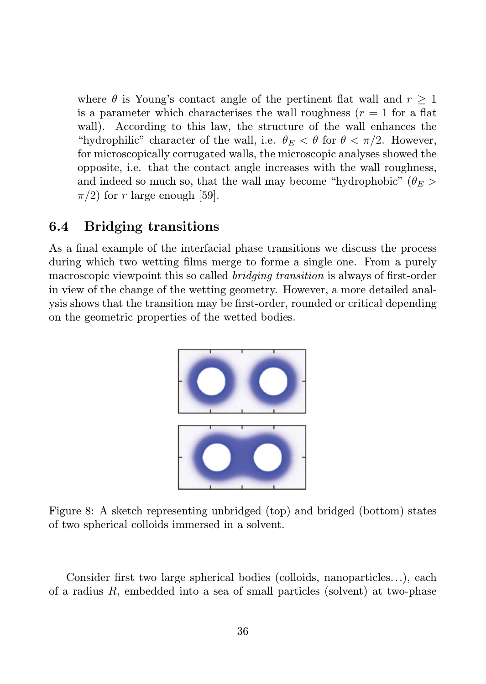where  $\theta$  is Young's contact angle of the pertinent flat wall and  $r \geq 1$ is a parameter which characterises the wall roughness  $(r = 1$  for a flat wall). According to this law, the structure of the wall enhances the "hydrophilic" character of the wall, i.e.  $\theta_E < \theta$  for  $\theta < \pi/2$ . However, for microscopically corrugated walls, the microscopic analyses showed the opposite, i.e. that the contact angle increases with the wall roughness, and indeed so much so, that the wall may become "hydrophobic" ( $\theta_E$ )  $\pi/2$ ) for r large enough [59].

#### 6.4 Bridging transitions

As a final example of the interfacial phase transitions we discuss the process during which two wetting films merge to forme a single one. From a purely macroscopic viewpoint this so called bridging transition is always of first-order in view of the change of the wetting geometry. However, a more detailed analysis shows that the transition may be first-order, rounded or critical depending on the geometric properties of the wetted bodies.



Figure 8: A sketch representing unbridged (top) and bridged (bottom) states of two spherical colloids immersed in a solvent.

Consider first two large spherical bodies (colloids, nanoparticles...), each of a radius  $R$ , embedded into a sea of small particles (solvent) at two-phase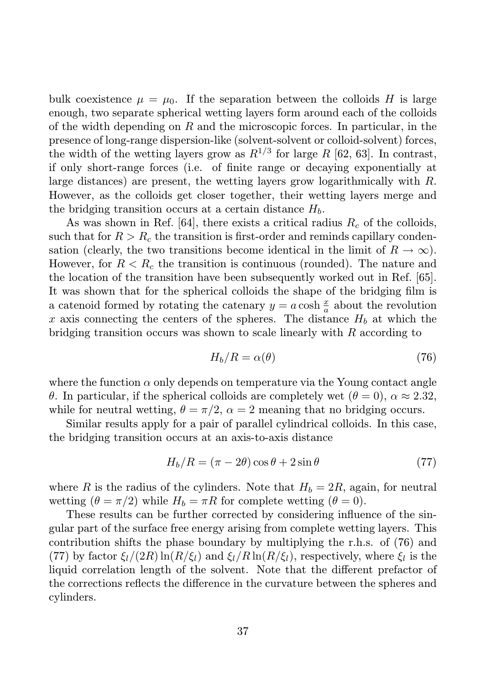bulk coexistence  $\mu = \mu_0$ . If the separation between the colloids H is large enough, two separate spherical wetting layers form around each of the colloids of the width depending on  $R$  and the microscopic forces. In particular, in the presence of long-range dispersion-like (solvent-solvent or colloid-solvent) forces, the width of the wetting layers grow as  $R^{1/3}$  for large R [62, 63]. In contrast, if only short-range forces (i.e. of finite range or decaying exponentially at large distances) are present, the wetting layers grow logarithmically with R. However, as the colloids get closer together, their wetting layers merge and the bridging transition occurs at a certain distance  $H_b$ .

As was shown in Ref.  $[64]$ , there exists a critical radius  $R_c$  of the colloids, such that for  $R > R_c$  the transition is first-order and reminds capillary condensation (clearly, the two transitions become identical in the limit of  $R \to \infty$ ). However, for  $R < R_c$  the transition is continuous (rounded). The nature and the location of the transition have been subsequently worked out in Ref. [65]. It was shown that for the spherical colloids the shape of the bridging film is a catenoid formed by rotating the catenary  $y = a \cosh \frac{x}{a}$  about the revolution x axis connecting the centers of the spheres. The distance  $H_b$  at which the bridging transition occurs was shown to scale linearly with  $R$  according to

$$
H_b/R = \alpha(\theta) \tag{76}
$$

where the function  $\alpha$  only depends on temperature via the Young contact angle θ. In particular, if the spherical colloids are completely wet (θ = 0), α ≈ 2.32, while for neutral wetting,  $\theta = \pi/2$ ,  $\alpha = 2$  meaning that no bridging occurs.

Similar results apply for a pair of parallel cylindrical colloids. In this case, the bridging transition occurs at an axis-to-axis distance

$$
H_b/R = (\pi - 2\theta)\cos\theta + 2\sin\theta\tag{77}
$$

where R is the radius of the cylinders. Note that  $H_b = 2R$ , again, for neutral wetting  $(\theta = \pi/2)$  while  $H_b = \pi R$  for complete wetting  $(\theta = 0)$ .

These results can be further corrected by considering influence of the singular part of the surface free energy arising from complete wetting layers. This contribution shifts the phase boundary by multiplying the r.h.s. of (76) and (77) by factor  $\xi_l/(2R)\ln(R/\xi_l)$  and  $\xi_l/R\ln(R/\xi_l)$ , respectively, where  $\xi_l$  is the liquid correlation length of the solvent. Note that the different prefactor of the corrections reflects the difference in the curvature between the spheres and cylinders.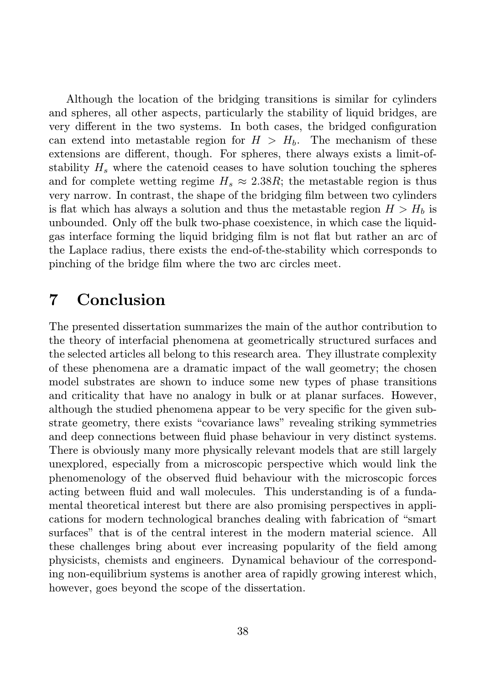Although the location of the bridging transitions is similar for cylinders and spheres, all other aspects, particularly the stability of liquid bridges, are very different in the two systems. In both cases, the bridged configuration can extend into metastable region for  $H > H<sub>b</sub>$ . The mechanism of these extensions are different, though. For spheres, there always exists a limit-ofstability  $H_s$  where the catenoid ceases to have solution touching the spheres and for complete wetting regime  $H_s \approx 2.38R$ ; the metastable region is thus very narrow. In contrast, the shape of the bridging film between two cylinders is flat which has always a solution and thus the metastable region  $H > H<sub>b</sub>$  is unbounded. Only off the bulk two-phase coexistence, in which case the liquidgas interface forming the liquid bridging film is not flat but rather an arc of the Laplace radius, there exists the end-of-the-stability which corresponds to pinching of the bridge film where the two arc circles meet.

### 7 Conclusion

The presented dissertation summarizes the main of the author contribution to the theory of interfacial phenomena at geometrically structured surfaces and the selected articles all belong to this research area. They illustrate complexity of these phenomena are a dramatic impact of the wall geometry; the chosen model substrates are shown to induce some new types of phase transitions and criticality that have no analogy in bulk or at planar surfaces. However, although the studied phenomena appear to be very specific for the given substrate geometry, there exists "covariance laws" revealing striking symmetries and deep connections between fluid phase behaviour in very distinct systems. There is obviously many more physically relevant models that are still largely unexplored, especially from a microscopic perspective which would link the phenomenology of the observed fluid behaviour with the microscopic forces acting between fluid and wall molecules. This understanding is of a fundamental theoretical interest but there are also promising perspectives in applications for modern technological branches dealing with fabrication of "smart surfaces" that is of the central interest in the modern material science. All these challenges bring about ever increasing popularity of the field among physicists, chemists and engineers. Dynamical behaviour of the corresponding non-equilibrium systems is another area of rapidly growing interest which, however, goes beyond the scope of the dissertation.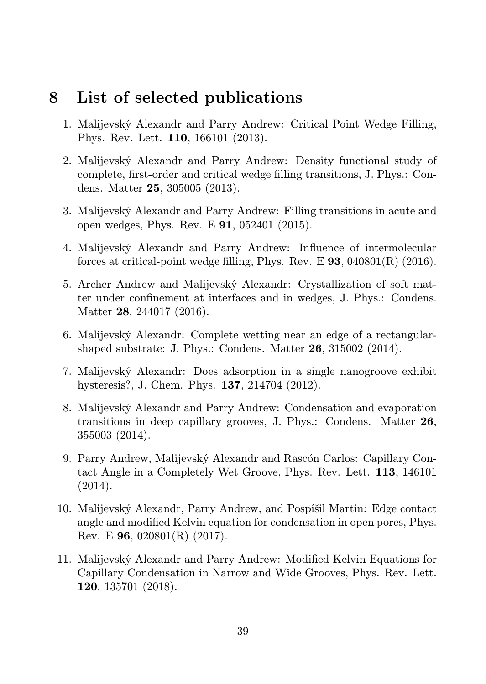### 8 List of selected publications

- 1. Malijevský Alexandr and Parry Andrew: Critical Point Wedge Filling, Phys. Rev. Lett. 110, 166101 (2013).
- 2. Malijevský Alexandr and Parry Andrew: Density functional study of complete, first-order and critical wedge filling transitions, J. Phys.: Condens. Matter 25, 305005 (2013).
- 3. Malijevský Alexandr and Parry Andrew: Filling transitions in acute and open wedges, Phys. Rev. E 91, 052401 (2015).
- 4. Malijevský Alexandr and Parry Andrew: Influence of intermolecular forces at critical-point wedge filling, Phys. Rev. E  $93$ ,  $040801(R)$  (2016).
- 5. Archer Andrew and Malijevský Alexandr: Crystallization of soft matter under confinement at interfaces and in wedges, J. Phys.: Condens. Matter 28, 244017 (2016).
- 6. Malijevský Alexandr: Complete wetting near an edge of a rectangularshaped substrate: J. Phys.: Condens. Matter 26, 315002 (2014).
- 7. Malijevský Alexandr: Does adsorption in a single nanogroove exhibit hysteresis?, J. Chem. Phys. 137, 214704 (2012).
- 8. Malijevský Alexandr and Parry Andrew: Condensation and evaporation transitions in deep capillary grooves, J. Phys.: Condens. Matter 26, 355003 (2014).
- 9. Parry Andrew, Malijevský Alexandr and Rascón Carlos: Capillary Contact Angle in a Completely Wet Groove, Phys. Rev. Lett. 113, 146101 (2014).
- 10. Malijevský Alexandr, Parry Andrew, and Pospíšil Martin: Edge contact angle and modified Kelvin equation for condensation in open pores, Phys. Rev. E  $96, 020801(R)$  (2017).
- 11. Malijevský Alexandr and Parry Andrew: Modified Kelvin Equations for Capillary Condensation in Narrow and Wide Grooves, Phys. Rev. Lett. 120, 135701 (2018).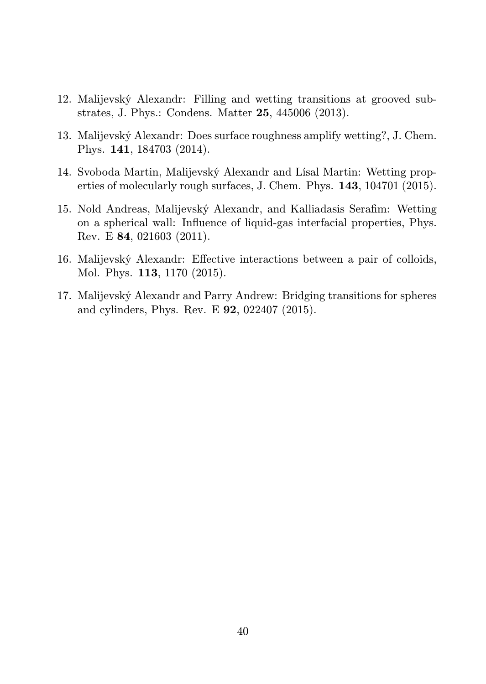- 12. Malijevský Alexandr: Filling and wetting transitions at grooved substrates, J. Phys.: Condens. Matter 25, 445006 (2013).
- 13. Malijevský Alexandr: Does surface roughness amplify wetting?, J. Chem. Phys. 141, 184703 (2014).
- 14. Svoboda Martin, Malijevský Alexandr and Lísal Martin: Wetting properties of molecularly rough surfaces, J. Chem. Phys. 143, 104701 (2015).
- 15. Nold Andreas, Malijevský Alexandr, and Kalliadasis Serafim: Wetting on a spherical wall: Influence of liquid-gas interfacial properties, Phys. Rev. E 84, 021603 (2011).
- 16. Malijevský Alexandr: Effective interactions between a pair of colloids, Mol. Phys. 113, 1170 (2015).
- 17. Malijevský Alexandr and Parry Andrew: Bridging transitions for spheres and cylinders, Phys. Rev. E 92, 022407 (2015).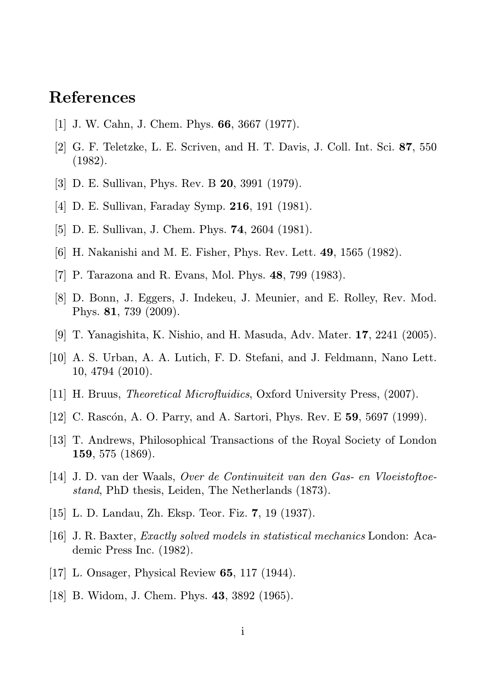## References

- [1] J. W. Cahn, J. Chem. Phys. 66, 3667 (1977).
- [2] G. F. Teletzke, L. E. Scriven, and H. T. Davis, J. Coll. Int. Sci. 87, 550 (1982).
- [3] D. E. Sullivan, Phys. Rev. B 20, 3991 (1979).
- [4] D. E. Sullivan, Faraday Symp. 216, 191 (1981).
- [5] D. E. Sullivan, J. Chem. Phys. 74, 2604 (1981).
- [6] H. Nakanishi and M. E. Fisher, Phys. Rev. Lett. 49, 1565 (1982).
- [7] P. Tarazona and R. Evans, Mol. Phys. 48, 799 (1983).
- [8] D. Bonn, J. Eggers, J. Indekeu, J. Meunier, and E. Rolley, Rev. Mod. Phys. 81, 739 (2009).
- [9] T. Yanagishita, K. Nishio, and H. Masuda, Adv. Mater. 17, 2241 (2005).
- [10] A. S. Urban, A. A. Lutich, F. D. Stefani, and J. Feldmann, Nano Lett. 10, 4794 (2010).
- [11] H. Bruus, Theoretical Microfluidics, Oxford University Press, (2007).
- [12] C. Rascón, A. O. Parry, and A. Sartori, Phys. Rev. E 59, 5697 (1999).
- [13] T. Andrews, Philosophical Transactions of the Royal Society of London 159, 575 (1869).
- [14] J. D. van der Waals, Over de Continuiteit van den Gas- en Vloeistoftoestand, PhD thesis, Leiden, The Netherlands (1873).
- [15] L. D. Landau, Zh. Eksp. Teor. Fiz. 7, 19 (1937).
- [16] J. R. Baxter, Exactly solved models in statistical mechanics London: Academic Press Inc. (1982).
- [17] L. Onsager, Physical Review **65**, 117 (1944).
- [18] B. Widom, J. Chem. Phys. 43, 3892 (1965).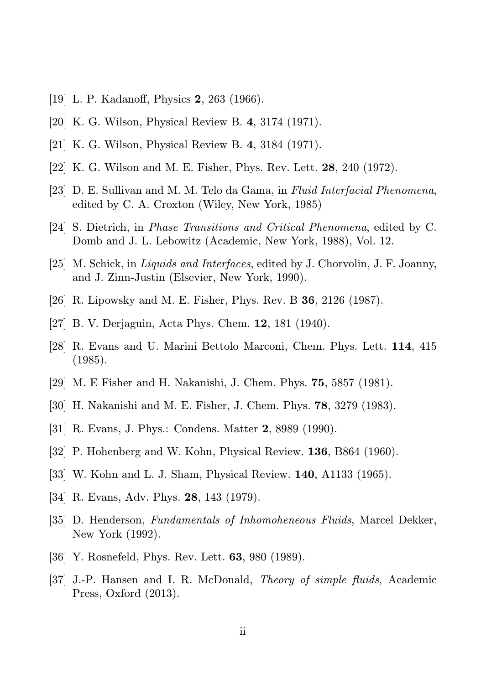- [19] L. P. Kadanoff, Physics 2, 263 (1966).
- [20] K. G. Wilson, Physical Review B. 4, 3174 (1971).
- [21] K. G. Wilson, Physical Review B. 4, 3184 (1971).
- [22] K. G. Wilson and M. E. Fisher, Phys. Rev. Lett. 28, 240 (1972).
- [23] D. E. Sullivan and M. M. Telo da Gama, in Fluid Interfacial Phenomena, edited by C. A. Croxton (Wiley, New York, 1985)
- [24] S. Dietrich, in Phase Transitions and Critical Phenomena, edited by C. Domb and J. L. Lebowitz (Academic, New York, 1988), Vol. 12.
- [25] M. Schick, in Liquids and Interfaces, edited by J. Chorvolin, J. F. Joanny, and J. Zinn-Justin (Elsevier, New York, 1990).
- [26] R. Lipowsky and M. E. Fisher, Phys. Rev. B 36, 2126 (1987).
- [27] B. V. Derjaguin, Acta Phys. Chem. 12, 181 (1940).
- [28] R. Evans and U. Marini Bettolo Marconi, Chem. Phys. Lett. 114, 415 (1985).
- [29] M. E Fisher and H. Nakanishi, J. Chem. Phys. 75, 5857 (1981).
- [30] H. Nakanishi and M. E. Fisher, J. Chem. Phys. 78, 3279 (1983).
- [31] R. Evans, J. Phys.: Condens. Matter 2, 8989 (1990).
- [32] P. Hohenberg and W. Kohn, Physical Review. **136**, B864 (1960).
- [33] W. Kohn and L. J. Sham, Physical Review. 140, A1133 (1965).
- [34] R. Evans, Adv. Phys. 28, 143 (1979).
- [35] D. Henderson, Fundamentals of Inhomoheneous Fluids, Marcel Dekker, New York (1992).
- [36] Y. Rosnefeld, Phys. Rev. Lett. 63, 980 (1989).
- [37] J.-P. Hansen and I. R. McDonald, Theory of simple fluids, Academic Press, Oxford (2013).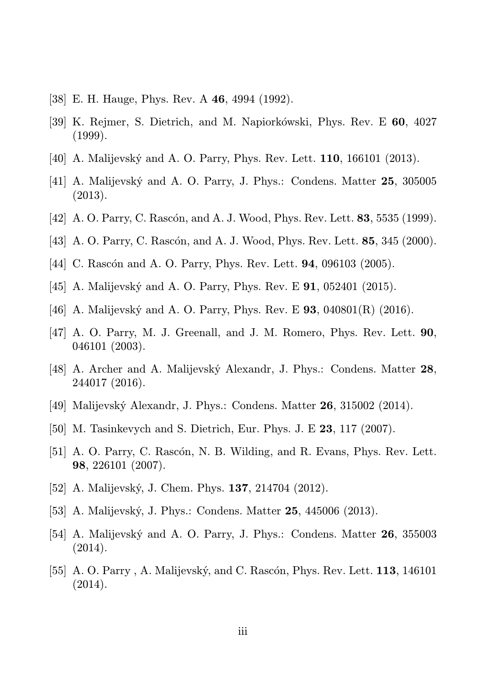- [38] E. H. Hauge, Phys. Rev. A 46, 4994 (1992).
- [39] K. Rejmer, S. Dietrich, and M. Napiorkówski, Phys. Rev. E 60, 4027 (1999).
- [40] A. Malijevský and A. O. Parry, Phys. Rev. Lett. 110, 166101 (2013).
- [41] A. Malijevský and A. O. Parry, J. Phys.: Condens. Matter 25, 305005 (2013).
- [42] A. O. Parry, C. Rascón, and A. J. Wood, Phys. Rev. Lett. 83, 5535 (1999).
- [43] A. O. Parry, C. Rascón, and A. J. Wood, Phys. Rev. Lett. 85, 345 (2000).
- [44] C. Rascón and A. O. Parry, Phys. Rev. Lett. 94, 096103 (2005).
- [45] A. Malijevský and A. O. Parry, Phys. Rev. E 91, 052401 (2015).
- [46] A. Malijevský and A. O. Parry, Phys. Rev. E 93, 040801(R) (2016).
- [47] A. O. Parry, M. J. Greenall, and J. M. Romero, Phys. Rev. Lett. 90, 046101 (2003).
- [48] A. Archer and A. Malijevský Alexandr, J. Phys.: Condens. Matter 28, 244017 (2016).
- [49] Malijevský Alexandr, J. Phys.: Condens. Matter 26, 315002 (2014).
- [50] M. Tasinkevych and S. Dietrich, Eur. Phys. J. E 23, 117 (2007).
- [51] A. O. Parry, C. Rascón, N. B. Wilding, and R. Evans, Phys. Rev. Lett. 98, 226101 (2007).
- [52] A. Malijevský, J. Chem. Phys. 137, 214704 (2012).
- [53] A. Malijevský, J. Phys.: Condens. Matter 25, 445006 (2013).
- [54] A. Malijevský and A. O. Parry, J. Phys.: Condens. Matter 26, 355003 (2014).
- [55] A. O. Parry , A. Malijevský, and C. Rascón, Phys. Rev. Lett. 113, 146101  $(2014).$